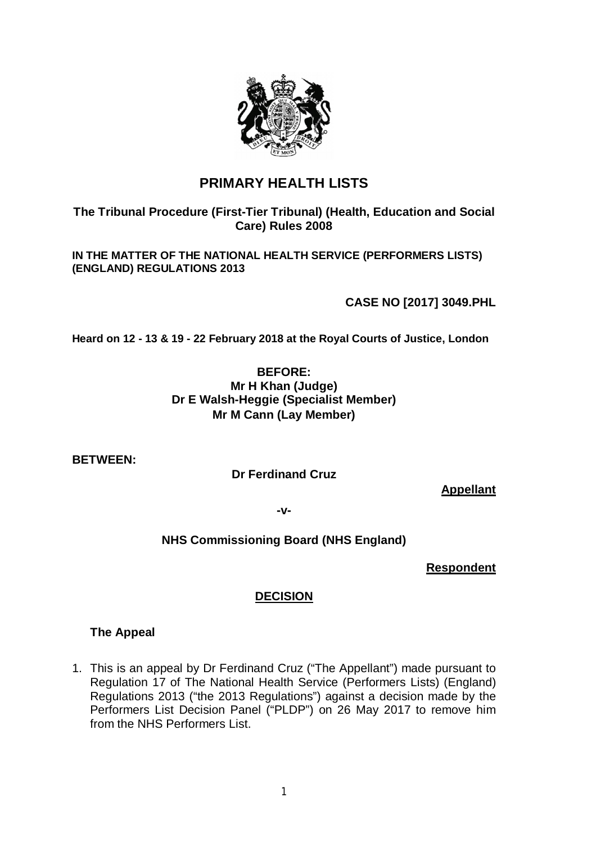

# **PRIMARY HEALTH LISTS**

**The Tribunal Procedure (First-Tier Tribunal) (Health, Education and Social Care) Rules 2008**

**IN THE MATTER OF THE NATIONAL HEALTH SERVICE (PERFORMERS LISTS) (ENGLAND) REGULATIONS 2013** 

**CASE NO [2017] 3049.PHL**

**Heard on 12 - 13 & 19 - 22 February 2018 at the Royal Courts of Justice, London**

# **BEFORE: Mr H Khan (Judge) Dr E Walsh-Heggie (Specialist Member) Mr M Cann (Lay Member)**

**BETWEEN:**

**Dr Ferdinand Cruz** 

**Appellant**

**-v-**

## **NHS Commissioning Board (NHS England)**

**Respondent**

## **DECISION**

## **The Appeal**

1. This is an appeal by Dr Ferdinand Cruz ("The Appellant") made pursuant to Regulation 17 of The National Health Service (Performers Lists) (England) Regulations 2013 ("the 2013 Regulations") against a decision made by the Performers List Decision Panel ("PLDP") on 26 May 2017 to remove him from the NHS Performers List.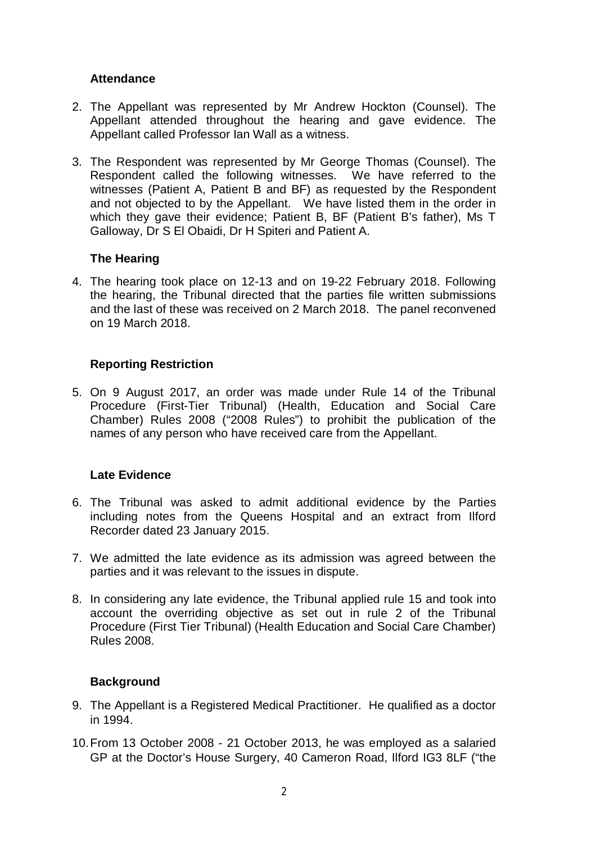# **Attendance**

- 2. The Appellant was represented by Mr Andrew Hockton (Counsel). The Appellant attended throughout the hearing and gave evidence. The Appellant called Professor Ian Wall as a witness.
- 3. The Respondent was represented by Mr George Thomas (Counsel). The Respondent called the following witnesses. We have referred to the witnesses (Patient A, Patient B and BF) as requested by the Respondent and not objected to by the Appellant. We have listed them in the order in which they gave their evidence; Patient B, BF (Patient B's father), Ms T Galloway, Dr S El Obaidi, Dr H Spiteri and Patient A.

# **The Hearing**

4. The hearing took place on 12-13 and on 19-22 February 2018. Following the hearing, the Tribunal directed that the parties file written submissions and the last of these was received on 2 March 2018. The panel reconvened on 19 March 2018.

# **Reporting Restriction**

5. On 9 August 2017, an order was made under Rule 14 of the Tribunal Procedure (First-Tier Tribunal) (Health, Education and Social Care Chamber) Rules 2008 ("2008 Rules") to prohibit the publication of the names of any person who have received care from the Appellant.

## **Late Evidence**

- 6. The Tribunal was asked to admit additional evidence by the Parties including notes from the Queens Hospital and an extract from Ilford Recorder dated 23 January 2015.
- 7. We admitted the late evidence as its admission was agreed between the parties and it was relevant to the issues in dispute.
- 8. In considering any late evidence, the Tribunal applied rule 15 and took into account the overriding objective as set out in rule 2 of the Tribunal Procedure (First Tier Tribunal) (Health Education and Social Care Chamber) Rules 2008.

# **Background**

- 9. The Appellant is a Registered Medical Practitioner. He qualified as a doctor in 1994.
- 10.From 13 October 2008 21 October 2013, he was employed as a salaried GP at the Doctor's House Surgery, 40 Cameron Road, Ilford IG3 8LF ("the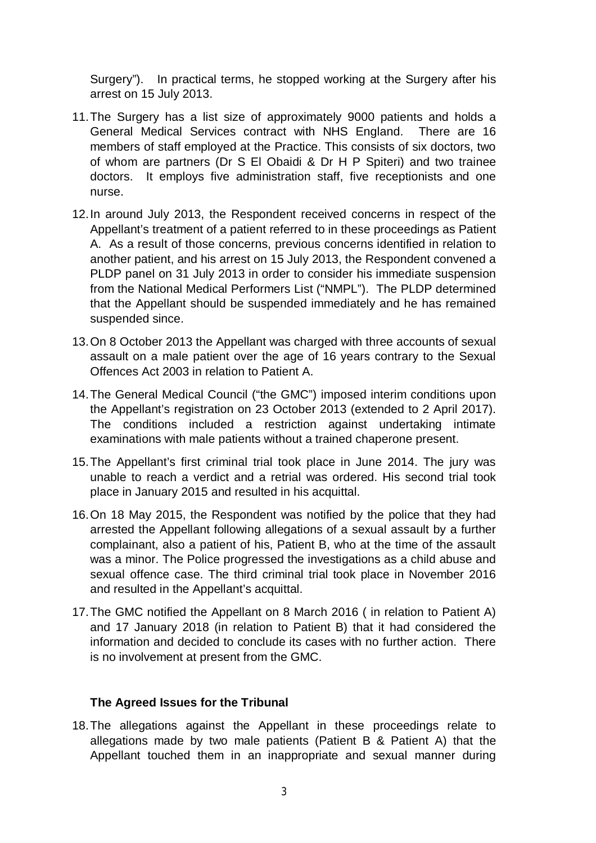Surgery"). In practical terms, he stopped working at the Surgery after his arrest on 15 July 2013.

- 11.The Surgery has a list size of approximately 9000 patients and holds a General Medical Services contract with NHS England. There are 16 members of staff employed at the Practice. This consists of six doctors, two of whom are partners (Dr S El Obaidi & Dr H P Spiteri) and two trainee doctors. It employs five administration staff, five receptionists and one nurse.
- 12.In around July 2013, the Respondent received concerns in respect of the Appellant's treatment of a patient referred to in these proceedings as Patient A. As a result of those concerns, previous concerns identified in relation to another patient, and his arrest on 15 July 2013, the Respondent convened a PLDP panel on 31 July 2013 in order to consider his immediate suspension from the National Medical Performers List ("NMPL"). The PLDP determined that the Appellant should be suspended immediately and he has remained suspended since.
- 13.On 8 October 2013 the Appellant was charged with three accounts of sexual assault on a male patient over the age of 16 years contrary to the Sexual Offences Act 2003 in relation to Patient A.
- 14.The General Medical Council ("the GMC") imposed interim conditions upon the Appellant's registration on 23 October 2013 (extended to 2 April 2017). The conditions included a restriction against undertaking intimate examinations with male patients without a trained chaperone present.
- 15.The Appellant's first criminal trial took place in June 2014. The jury was unable to reach a verdict and a retrial was ordered. His second trial took place in January 2015 and resulted in his acquittal.
- 16.On 18 May 2015, the Respondent was notified by the police that they had arrested the Appellant following allegations of a sexual assault by a further complainant, also a patient of his, Patient B, who at the time of the assault was a minor. The Police progressed the investigations as a child abuse and sexual offence case. The third criminal trial took place in November 2016 and resulted in the Appellant's acquittal.
- 17.The GMC notified the Appellant on 8 March 2016 ( in relation to Patient A) and 17 January 2018 (in relation to Patient B) that it had considered the information and decided to conclude its cases with no further action. There is no involvement at present from the GMC.

## **The Agreed Issues for the Tribunal**

18.The allegations against the Appellant in these proceedings relate to allegations made by two male patients (Patient B & Patient A) that the Appellant touched them in an inappropriate and sexual manner during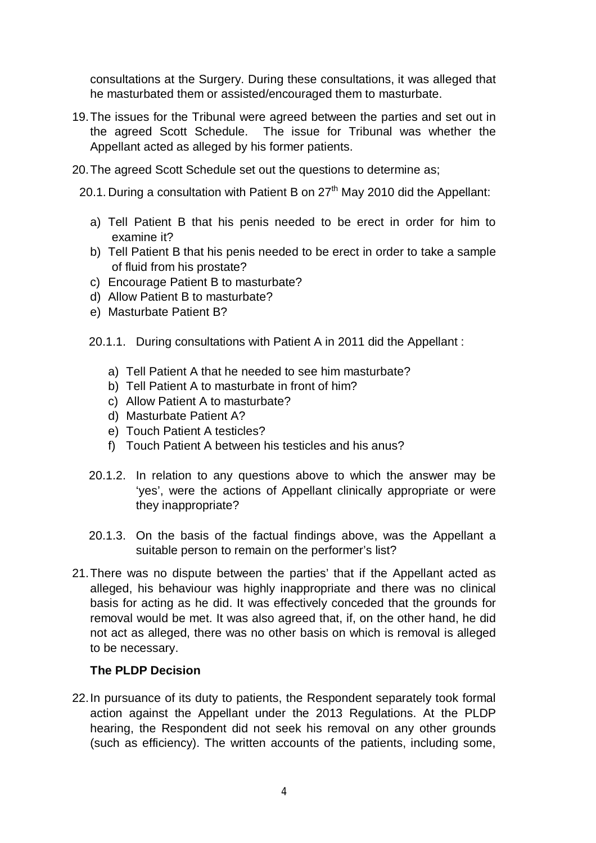consultations at the Surgery. During these consultations, it was alleged that he masturbated them or assisted/encouraged them to masturbate.

- 19.The issues for the Tribunal were agreed between the parties and set out in the agreed Scott Schedule. The issue for Tribunal was whether the Appellant acted as alleged by his former patients.
- 20.The agreed Scott Schedule set out the questions to determine as;
	- 20.1. During a consultation with Patient B on  $27<sup>th</sup>$  May 2010 did the Appellant:
		- a) Tell Patient B that his penis needed to be erect in order for him to examine it?
		- b) Tell Patient B that his penis needed to be erect in order to take a sample of fluid from his prostate?
		- c) Encourage Patient B to masturbate?
		- d) Allow Patient B to masturbate?
		- e) Masturbate Patient B?
		- 20.1.1. During consultations with Patient A in 2011 did the Appellant :
			- a) Tell Patient A that he needed to see him masturbate?
			- b) Tell Patient A to masturbate in front of him?
			- c) Allow Patient A to masturbate?
			- d) Masturbate Patient A?
			- e) Touch Patient A testicles?
			- f) Touch Patient A between his testicles and his anus?
		- 20.1.2. In relation to any questions above to which the answer may be 'yes', were the actions of Appellant clinically appropriate or were they inappropriate?
		- 20.1.3. On the basis of the factual findings above, was the Appellant a suitable person to remain on the performer's list?
- 21.There was no dispute between the parties' that if the Appellant acted as alleged, his behaviour was highly inappropriate and there was no clinical basis for acting as he did. It was effectively conceded that the grounds for removal would be met. It was also agreed that, if, on the other hand, he did not act as alleged, there was no other basis on which is removal is alleged to be necessary.

## **The PLDP Decision**

22.In pursuance of its duty to patients, the Respondent separately took formal action against the Appellant under the 2013 Regulations. At the PLDP hearing, the Respondent did not seek his removal on any other grounds (such as efficiency). The written accounts of the patients, including some,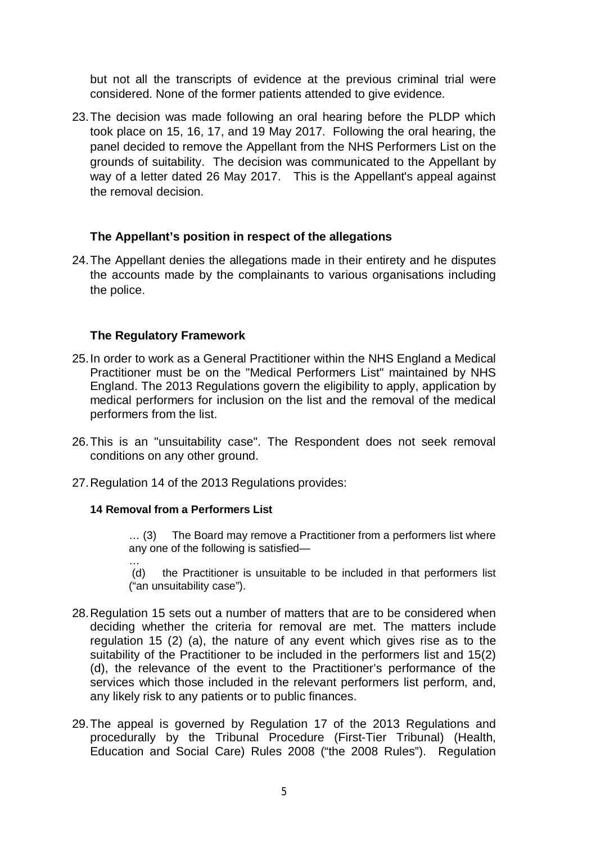but not all the transcripts of evidence at the previous criminal trial were considered. None of the former patients attended to give evidence.

23.The decision was made following an oral hearing before the PLDP which took place on 15, 16, 17, and 19 May 2017. Following the oral hearing, the panel decided to remove the Appellant from the NHS Performers List on the grounds of suitability. The decision was communicated to the Appellant by way of a letter dated 26 May 2017. This is the Appellant's appeal against the removal decision.

# **The Appellant's position in respect of the allegations**

24.The Appellant denies the allegations made in their entirety and he disputes the accounts made by the complainants to various organisations including the police.

# **The Regulatory Framework**

- 25.In order to work as a General Practitioner within the NHS England a Medical Practitioner must be on the "Medical Performers List" maintained by NHS England. The 2013 Regulations govern the eligibility to apply, application by medical performers for inclusion on the list and the removal of the medical performers from the list.
- 26.This is an "unsuitability case". The Respondent does not seek removal conditions on any other ground.
- 27.Regulation 14 of the 2013 Regulations provides:

## **14 Removal from a Performers List**

… (3) The Board may remove a Practitioner from a performers list where any one of the following is satisfied—

… (d)the Practitioner is unsuitable to be included in that performers list ("an unsuitability case").

- 28.Regulation 15 sets out a number of matters that are to be considered when deciding whether the criteria for removal are met. The matters include regulation 15 (2) (a), the nature of any event which gives rise as to the suitability of the Practitioner to be included in the performers list and 15(2) (d), the relevance of the event to the Practitioner's performance of the services which those included in the relevant performers list perform, and, any likely risk to any patients or to public finances.
- 29.The appeal is governed by Regulation 17 of the 2013 Regulations and procedurally by the Tribunal Procedure (First-Tier Tribunal) (Health, Education and Social Care) Rules 2008 ("the 2008 Rules"). Regulation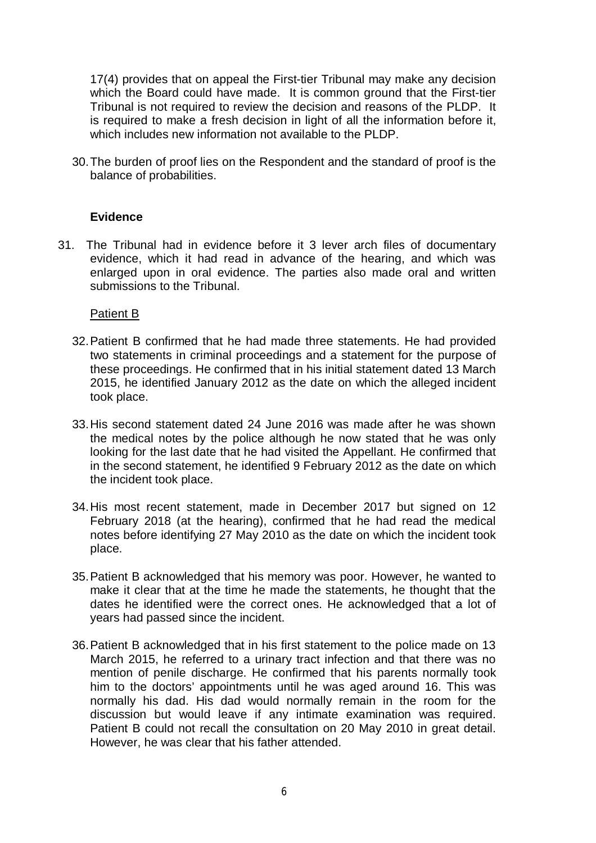17(4) provides that on appeal the First-tier Tribunal may make any decision which the Board could have made. It is common ground that the First-tier Tribunal is not required to review the decision and reasons of the PLDP. It is required to make a fresh decision in light of all the information before it, which includes new information not available to the PLDP.

30.The burden of proof lies on the Respondent and the standard of proof is the balance of probabilities.

## **Evidence**

31. The Tribunal had in evidence before it 3 lever arch files of documentary evidence, which it had read in advance of the hearing, and which was enlarged upon in oral evidence. The parties also made oral and written submissions to the Tribunal.

## Patient B

- 32.Patient B confirmed that he had made three statements. He had provided two statements in criminal proceedings and a statement for the purpose of these proceedings. He confirmed that in his initial statement dated 13 March 2015, he identified January 2012 as the date on which the alleged incident took place.
- 33.His second statement dated 24 June 2016 was made after he was shown the medical notes by the police although he now stated that he was only looking for the last date that he had visited the Appellant. He confirmed that in the second statement, he identified 9 February 2012 as the date on which the incident took place.
- 34.His most recent statement, made in December 2017 but signed on 12 February 2018 (at the hearing), confirmed that he had read the medical notes before identifying 27 May 2010 as the date on which the incident took place.
- 35.Patient B acknowledged that his memory was poor. However, he wanted to make it clear that at the time he made the statements, he thought that the dates he identified were the correct ones. He acknowledged that a lot of years had passed since the incident.
- 36.Patient B acknowledged that in his first statement to the police made on 13 March 2015, he referred to a urinary tract infection and that there was no mention of penile discharge. He confirmed that his parents normally took him to the doctors' appointments until he was aged around 16. This was normally his dad. His dad would normally remain in the room for the discussion but would leave if any intimate examination was required. Patient B could not recall the consultation on 20 May 2010 in great detail. However, he was clear that his father attended.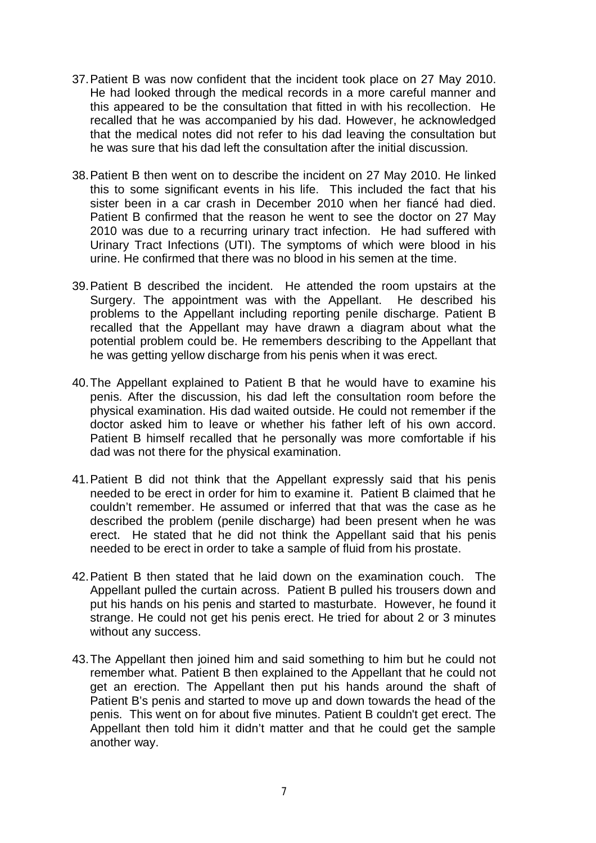- 37.Patient B was now confident that the incident took place on 27 May 2010. He had looked through the medical records in a more careful manner and this appeared to be the consultation that fitted in with his recollection. He recalled that he was accompanied by his dad. However, he acknowledged that the medical notes did not refer to his dad leaving the consultation but he was sure that his dad left the consultation after the initial discussion.
- 38.Patient B then went on to describe the incident on 27 May 2010. He linked this to some significant events in his life. This included the fact that his sister been in a car crash in December 2010 when her fiancé had died. Patient B confirmed that the reason he went to see the doctor on 27 May 2010 was due to a recurring urinary tract infection. He had suffered with Urinary Tract Infections (UTI). The symptoms of which were blood in his urine. He confirmed that there was no blood in his semen at the time.
- 39.Patient B described the incident. He attended the room upstairs at the Surgery. The appointment was with the Appellant. He described his problems to the Appellant including reporting penile discharge. Patient B recalled that the Appellant may have drawn a diagram about what the potential problem could be. He remembers describing to the Appellant that he was getting yellow discharge from his penis when it was erect.
- 40.The Appellant explained to Patient B that he would have to examine his penis. After the discussion, his dad left the consultation room before the physical examination. His dad waited outside. He could not remember if the doctor asked him to leave or whether his father left of his own accord. Patient B himself recalled that he personally was more comfortable if his dad was not there for the physical examination.
- 41.Patient B did not think that the Appellant expressly said that his penis needed to be erect in order for him to examine it. Patient B claimed that he couldn't remember. He assumed or inferred that that was the case as he described the problem (penile discharge) had been present when he was erect. He stated that he did not think the Appellant said that his penis needed to be erect in order to take a sample of fluid from his prostate.
- 42.Patient B then stated that he laid down on the examination couch. The Appellant pulled the curtain across. Patient B pulled his trousers down and put his hands on his penis and started to masturbate. However, he found it strange. He could not get his penis erect. He tried for about 2 or 3 minutes without any success.
- 43.The Appellant then joined him and said something to him but he could not remember what. Patient B then explained to the Appellant that he could not get an erection. The Appellant then put his hands around the shaft of Patient B's penis and started to move up and down towards the head of the penis. This went on for about five minutes. Patient B couldn't get erect. The Appellant then told him it didn't matter and that he could get the sample another way.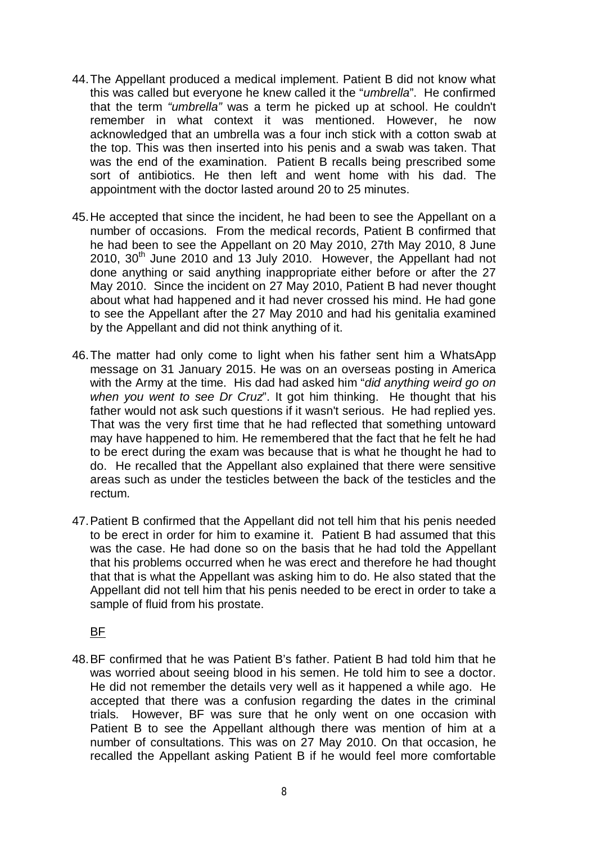- 44.The Appellant produced a medical implement. Patient B did not know what this was called but everyone he knew called it the "*umbrella*". He confirmed that the term *"umbrella"* was a term he picked up at school. He couldn't remember in what context it was mentioned. However, he now acknowledged that an umbrella was a four inch stick with a cotton swab at the top. This was then inserted into his penis and a swab was taken. That was the end of the examination. Patient B recalls being prescribed some sort of antibiotics. He then left and went home with his dad. The appointment with the doctor lasted around 20 to 25 minutes.
- 45.He accepted that since the incident, he had been to see the Appellant on a number of occasions. From the medical records, Patient B confirmed that he had been to see the Appellant on 20 May 2010, 27th May 2010, 8 June 2010,  $30<sup>th</sup>$  June 2010 and 13 July 2010. However, the Appellant had not done anything or said anything inappropriate either before or after the 27 May 2010. Since the incident on 27 May 2010, Patient B had never thought about what had happened and it had never crossed his mind. He had gone to see the Appellant after the 27 May 2010 and had his genitalia examined by the Appellant and did not think anything of it.
- 46.The matter had only come to light when his father sent him a WhatsApp message on 31 January 2015. He was on an overseas posting in America with the Army at the time. His dad had asked him "*did anything weird go on when you went to see Dr Cruz*". It got him thinking. He thought that his father would not ask such questions if it wasn't serious. He had replied yes. That was the very first time that he had reflected that something untoward may have happened to him. He remembered that the fact that he felt he had to be erect during the exam was because that is what he thought he had to do. He recalled that the Appellant also explained that there were sensitive areas such as under the testicles between the back of the testicles and the rectum.
- 47.Patient B confirmed that the Appellant did not tell him that his penis needed to be erect in order for him to examine it. Patient B had assumed that this was the case. He had done so on the basis that he had told the Appellant that his problems occurred when he was erect and therefore he had thought that that is what the Appellant was asking him to do. He also stated that the Appellant did not tell him that his penis needed to be erect in order to take a sample of fluid from his prostate.

BF

48.BF confirmed that he was Patient B's father. Patient B had told him that he was worried about seeing blood in his semen. He told him to see a doctor. He did not remember the details very well as it happened a while ago. He accepted that there was a confusion regarding the dates in the criminal trials. However, BF was sure that he only went on one occasion with Patient B to see the Appellant although there was mention of him at a number of consultations. This was on 27 May 2010. On that occasion, he recalled the Appellant asking Patient B if he would feel more comfortable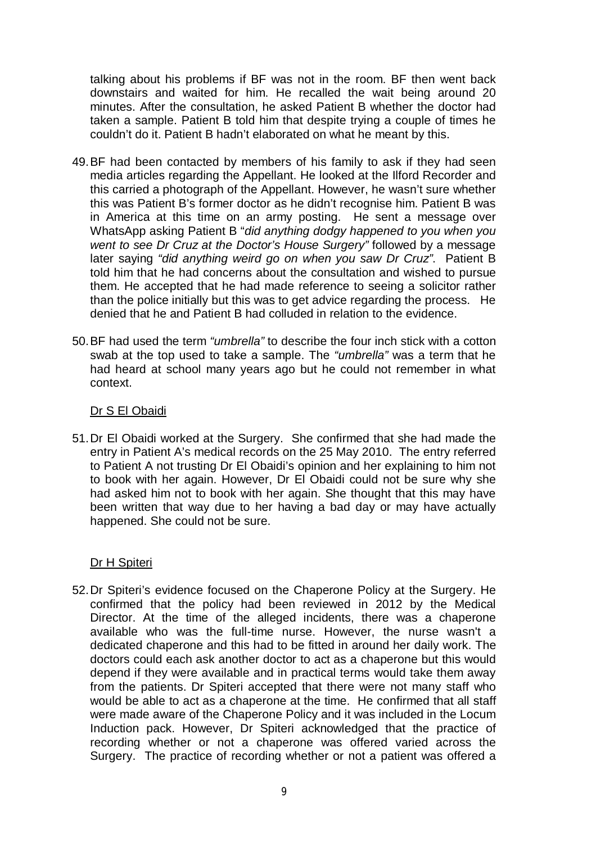talking about his problems if BF was not in the room. BF then went back downstairs and waited for him. He recalled the wait being around 20 minutes. After the consultation, he asked Patient B whether the doctor had taken a sample. Patient B told him that despite trying a couple of times he couldn't do it. Patient B hadn't elaborated on what he meant by this.

- 49.BF had been contacted by members of his family to ask if they had seen media articles regarding the Appellant. He looked at the Ilford Recorder and this carried a photograph of the Appellant. However, he wasn't sure whether this was Patient B's former doctor as he didn't recognise him. Patient B was in America at this time on an army posting. He sent a message over WhatsApp asking Patient B "*did anything dodgy happened to you when you went to see Dr Cruz at the Doctor's House Surgery"* followed by a message later saying *"did anything weird go on when you saw Dr Cruz"*. Patient B told him that he had concerns about the consultation and wished to pursue them. He accepted that he had made reference to seeing a solicitor rather than the police initially but this was to get advice regarding the process. He denied that he and Patient B had colluded in relation to the evidence.
- 50.BF had used the term *"umbrella"* to describe the four inch stick with a cotton swab at the top used to take a sample. The *"umbrella"* was a term that he had heard at school many years ago but he could not remember in what context.

## Dr S El Obaidi

51.Dr El Obaidi worked at the Surgery. She confirmed that she had made the entry in Patient A's medical records on the 25 May 2010. The entry referred to Patient A not trusting Dr El Obaidi's opinion and her explaining to him not to book with her again. However, Dr El Obaidi could not be sure why she had asked him not to book with her again. She thought that this may have been written that way due to her having a bad day or may have actually happened. She could not be sure.

## Dr H Spiteri

52.Dr Spiteri's evidence focused on the Chaperone Policy at the Surgery. He confirmed that the policy had been reviewed in 2012 by the Medical Director. At the time of the alleged incidents, there was a chaperone available who was the full-time nurse. However, the nurse wasn't a dedicated chaperone and this had to be fitted in around her daily work. The doctors could each ask another doctor to act as a chaperone but this would depend if they were available and in practical terms would take them away from the patients. Dr Spiteri accepted that there were not many staff who would be able to act as a chaperone at the time. He confirmed that all staff were made aware of the Chaperone Policy and it was included in the Locum Induction pack. However, Dr Spiteri acknowledged that the practice of recording whether or not a chaperone was offered varied across the Surgery. The practice of recording whether or not a patient was offered a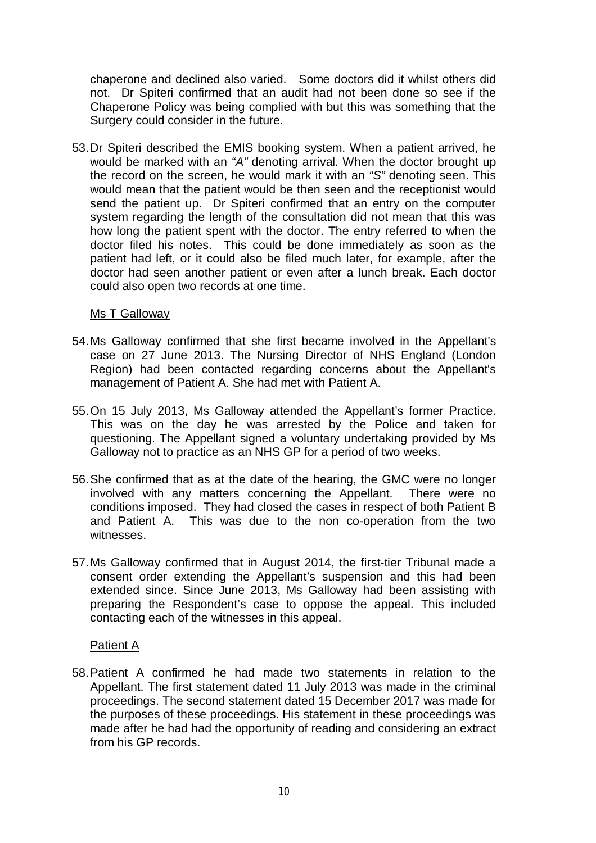chaperone and declined also varied. Some doctors did it whilst others did not. Dr Spiteri confirmed that an audit had not been done so see if the Chaperone Policy was being complied with but this was something that the Surgery could consider in the future.

53.Dr Spiteri described the EMIS booking system. When a patient arrived, he would be marked with an *"A"* denoting arrival. When the doctor brought up the record on the screen, he would mark it with an *"S"* denoting seen. This would mean that the patient would be then seen and the receptionist would send the patient up. Dr Spiteri confirmed that an entry on the computer system regarding the length of the consultation did not mean that this was how long the patient spent with the doctor. The entry referred to when the doctor filed his notes. This could be done immediately as soon as the patient had left, or it could also be filed much later, for example, after the doctor had seen another patient or even after a lunch break. Each doctor could also open two records at one time.

## Ms T Galloway

- 54.Ms Galloway confirmed that she first became involved in the Appellant's case on 27 June 2013. The Nursing Director of NHS England (London Region) had been contacted regarding concerns about the Appellant's management of Patient A. She had met with Patient A.
- 55.On 15 July 2013, Ms Galloway attended the Appellant's former Practice. This was on the day he was arrested by the Police and taken for questioning. The Appellant signed a voluntary undertaking provided by Ms Galloway not to practice as an NHS GP for a period of two weeks.
- 56.She confirmed that as at the date of the hearing, the GMC were no longer involved with any matters concerning the Appellant. There were no conditions imposed. They had closed the cases in respect of both Patient B and Patient A. This was due to the non co-operation from the two witnesses.
- 57.Ms Galloway confirmed that in August 2014, the first-tier Tribunal made a consent order extending the Appellant's suspension and this had been extended since. Since June 2013, Ms Galloway had been assisting with preparing the Respondent's case to oppose the appeal. This included contacting each of the witnesses in this appeal.

## Patient A

58.Patient A confirmed he had made two statements in relation to the Appellant. The first statement dated 11 July 2013 was made in the criminal proceedings. The second statement dated 15 December 2017 was made for the purposes of these proceedings. His statement in these proceedings was made after he had had the opportunity of reading and considering an extract from his GP records.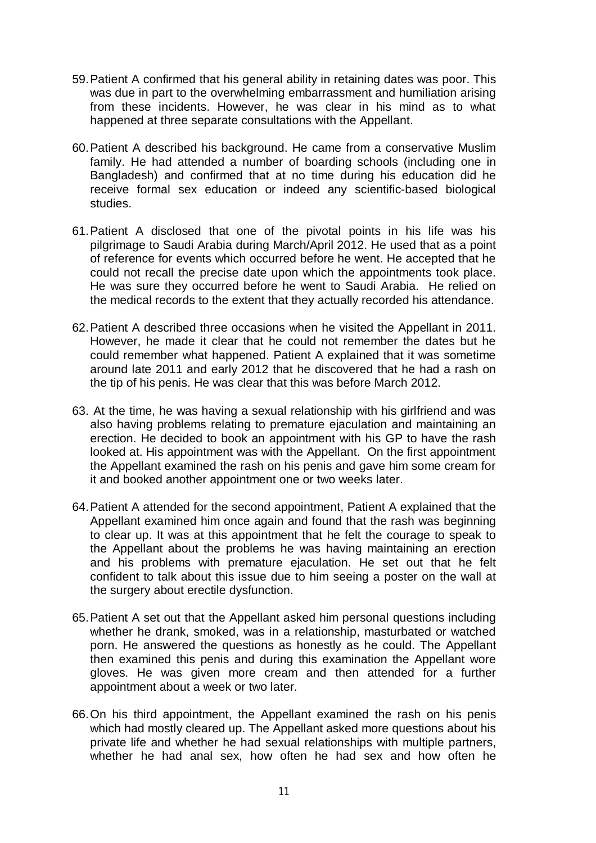- 59.Patient A confirmed that his general ability in retaining dates was poor. This was due in part to the overwhelming embarrassment and humiliation arising from these incidents. However, he was clear in his mind as to what happened at three separate consultations with the Appellant.
- 60.Patient A described his background. He came from a conservative Muslim family. He had attended a number of boarding schools (including one in Bangladesh) and confirmed that at no time during his education did he receive formal sex education or indeed any scientific-based biological studies.
- 61.Patient A disclosed that one of the pivotal points in his life was his pilgrimage to Saudi Arabia during March/April 2012. He used that as a point of reference for events which occurred before he went. He accepted that he could not recall the precise date upon which the appointments took place. He was sure they occurred before he went to Saudi Arabia. He relied on the medical records to the extent that they actually recorded his attendance.
- 62.Patient A described three occasions when he visited the Appellant in 2011. However, he made it clear that he could not remember the dates but he could remember what happened. Patient A explained that it was sometime around late 2011 and early 2012 that he discovered that he had a rash on the tip of his penis. He was clear that this was before March 2012.
- 63. At the time, he was having a sexual relationship with his girlfriend and was also having problems relating to premature ejaculation and maintaining an erection. He decided to book an appointment with his GP to have the rash looked at. His appointment was with the Appellant. On the first appointment the Appellant examined the rash on his penis and gave him some cream for it and booked another appointment one or two weeks later.
- 64.Patient A attended for the second appointment, Patient A explained that the Appellant examined him once again and found that the rash was beginning to clear up. It was at this appointment that he felt the courage to speak to the Appellant about the problems he was having maintaining an erection and his problems with premature ejaculation. He set out that he felt confident to talk about this issue due to him seeing a poster on the wall at the surgery about erectile dysfunction.
- 65.Patient A set out that the Appellant asked him personal questions including whether he drank, smoked, was in a relationship, masturbated or watched porn. He answered the questions as honestly as he could. The Appellant then examined this penis and during this examination the Appellant wore gloves. He was given more cream and then attended for a further appointment about a week or two later.
- 66.On his third appointment, the Appellant examined the rash on his penis which had mostly cleared up. The Appellant asked more questions about his private life and whether he had sexual relationships with multiple partners, whether he had anal sex, how often he had sex and how often he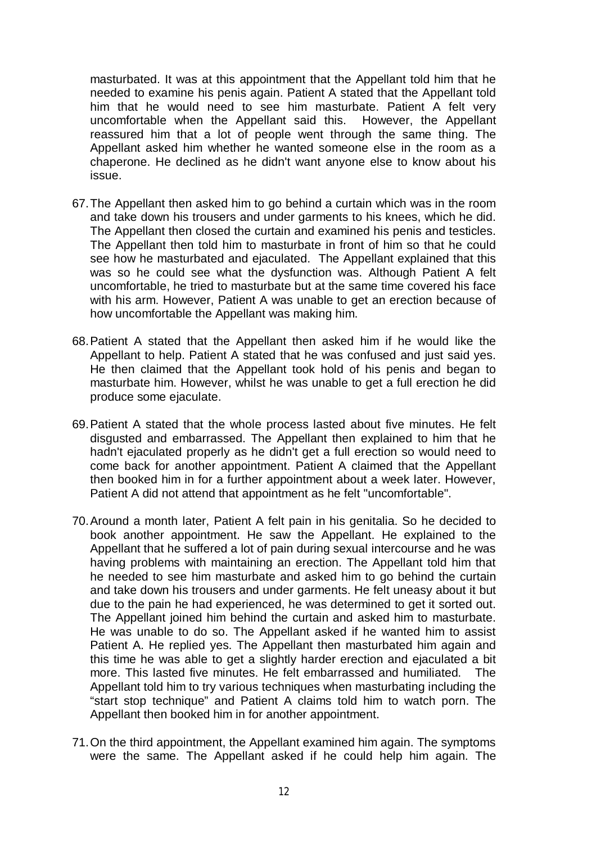masturbated. It was at this appointment that the Appellant told him that he needed to examine his penis again. Patient A stated that the Appellant told him that he would need to see him masturbate. Patient A felt very uncomfortable when the Appellant said this. However, the Appellant reassured him that a lot of people went through the same thing. The Appellant asked him whether he wanted someone else in the room as a chaperone. He declined as he didn't want anyone else to know about his issue.

- 67.The Appellant then asked him to go behind a curtain which was in the room and take down his trousers and under garments to his knees, which he did. The Appellant then closed the curtain and examined his penis and testicles. The Appellant then told him to masturbate in front of him so that he could see how he masturbated and ejaculated. The Appellant explained that this was so he could see what the dysfunction was. Although Patient A felt uncomfortable, he tried to masturbate but at the same time covered his face with his arm. However, Patient A was unable to get an erection because of how uncomfortable the Appellant was making him.
- 68.Patient A stated that the Appellant then asked him if he would like the Appellant to help. Patient A stated that he was confused and just said yes. He then claimed that the Appellant took hold of his penis and began to masturbate him. However, whilst he was unable to get a full erection he did produce some ejaculate.
- 69.Patient A stated that the whole process lasted about five minutes. He felt disgusted and embarrassed. The Appellant then explained to him that he hadn't ejaculated properly as he didn't get a full erection so would need to come back for another appointment. Patient A claimed that the Appellant then booked him in for a further appointment about a week later. However, Patient A did not attend that appointment as he felt "uncomfortable".
- 70.Around a month later, Patient A felt pain in his genitalia. So he decided to book another appointment. He saw the Appellant. He explained to the Appellant that he suffered a lot of pain during sexual intercourse and he was having problems with maintaining an erection. The Appellant told him that he needed to see him masturbate and asked him to go behind the curtain and take down his trousers and under garments. He felt uneasy about it but due to the pain he had experienced, he was determined to get it sorted out. The Appellant joined him behind the curtain and asked him to masturbate. He was unable to do so. The Appellant asked if he wanted him to assist Patient A. He replied yes. The Appellant then masturbated him again and this time he was able to get a slightly harder erection and ejaculated a bit more. This lasted five minutes. He felt embarrassed and humiliated. The Appellant told him to try various techniques when masturbating including the "start stop technique" and Patient A claims told him to watch porn. The Appellant then booked him in for another appointment.
- 71.On the third appointment, the Appellant examined him again. The symptoms were the same. The Appellant asked if he could help him again. The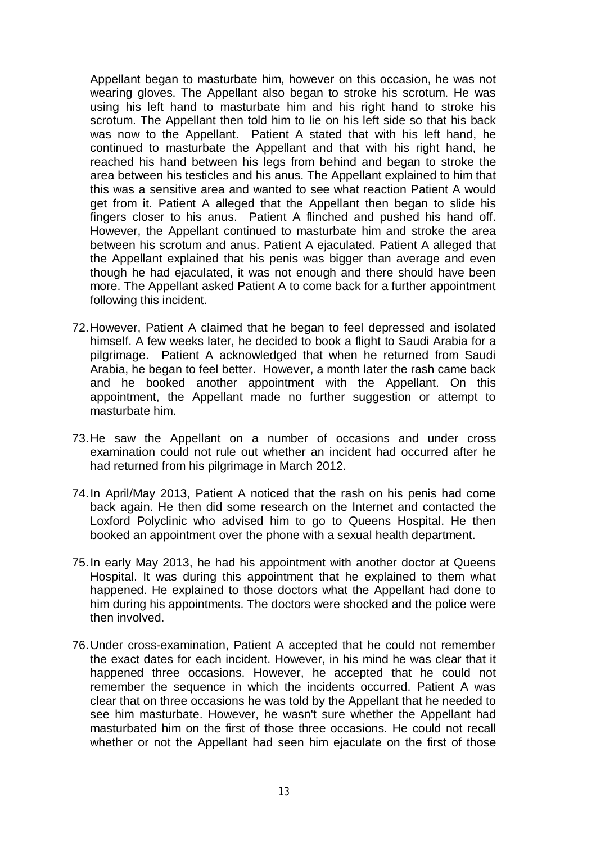Appellant began to masturbate him, however on this occasion, he was not wearing gloves. The Appellant also began to stroke his scrotum. He was using his left hand to masturbate him and his right hand to stroke his scrotum. The Appellant then told him to lie on his left side so that his back was now to the Appellant. Patient A stated that with his left hand, he continued to masturbate the Appellant and that with his right hand, he reached his hand between his legs from behind and began to stroke the area between his testicles and his anus. The Appellant explained to him that this was a sensitive area and wanted to see what reaction Patient A would get from it. Patient A alleged that the Appellant then began to slide his fingers closer to his anus. Patient A flinched and pushed his hand off. However, the Appellant continued to masturbate him and stroke the area between his scrotum and anus. Patient A ejaculated. Patient A alleged that the Appellant explained that his penis was bigger than average and even though he had ejaculated, it was not enough and there should have been more. The Appellant asked Patient A to come back for a further appointment following this incident.

- 72.However, Patient A claimed that he began to feel depressed and isolated himself. A few weeks later, he decided to book a flight to Saudi Arabia for a pilgrimage. Patient A acknowledged that when he returned from Saudi Arabia, he began to feel better. However, a month later the rash came back and he booked another appointment with the Appellant. On this appointment, the Appellant made no further suggestion or attempt to masturbate him.
- 73.He saw the Appellant on a number of occasions and under cross examination could not rule out whether an incident had occurred after he had returned from his pilgrimage in March 2012.
- 74.In April/May 2013, Patient A noticed that the rash on his penis had come back again. He then did some research on the Internet and contacted the Loxford Polyclinic who advised him to go to Queens Hospital. He then booked an appointment over the phone with a sexual health department.
- 75.In early May 2013, he had his appointment with another doctor at Queens Hospital. It was during this appointment that he explained to them what happened. He explained to those doctors what the Appellant had done to him during his appointments. The doctors were shocked and the police were then involved.
- 76.Under cross-examination, Patient A accepted that he could not remember the exact dates for each incident. However, in his mind he was clear that it happened three occasions. However, he accepted that he could not remember the sequence in which the incidents occurred. Patient A was clear that on three occasions he was told by the Appellant that he needed to see him masturbate. However, he wasn't sure whether the Appellant had masturbated him on the first of those three occasions. He could not recall whether or not the Appellant had seen him ejaculate on the first of those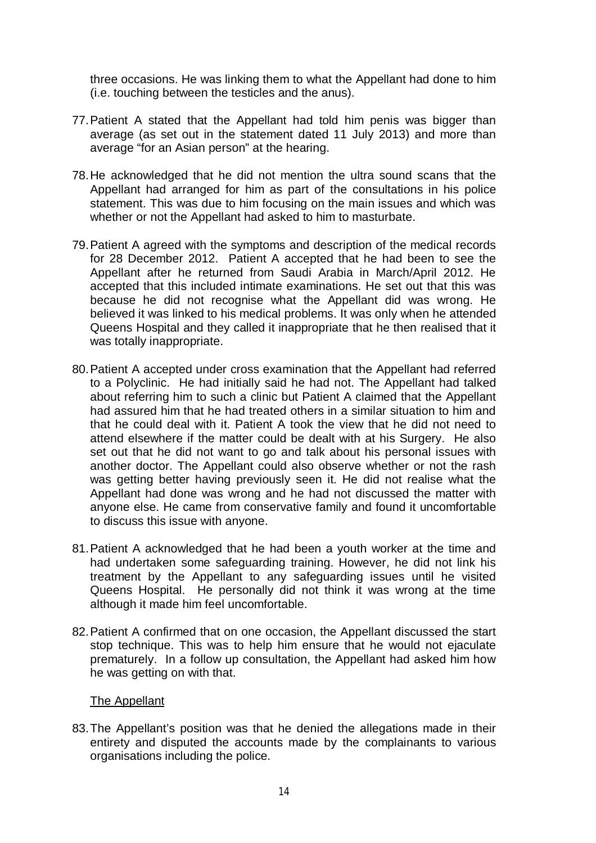three occasions. He was linking them to what the Appellant had done to him (i.e. touching between the testicles and the anus).

- 77.Patient A stated that the Appellant had told him penis was bigger than average (as set out in the statement dated 11 July 2013) and more than average "for an Asian person" at the hearing.
- 78.He acknowledged that he did not mention the ultra sound scans that the Appellant had arranged for him as part of the consultations in his police statement. This was due to him focusing on the main issues and which was whether or not the Appellant had asked to him to masturbate.
- 79.Patient A agreed with the symptoms and description of the medical records for 28 December 2012. Patient A accepted that he had been to see the Appellant after he returned from Saudi Arabia in March/April 2012. He accepted that this included intimate examinations. He set out that this was because he did not recognise what the Appellant did was wrong. He believed it was linked to his medical problems. It was only when he attended Queens Hospital and they called it inappropriate that he then realised that it was totally inappropriate.
- 80.Patient A accepted under cross examination that the Appellant had referred to a Polyclinic. He had initially said he had not. The Appellant had talked about referring him to such a clinic but Patient A claimed that the Appellant had assured him that he had treated others in a similar situation to him and that he could deal with it. Patient A took the view that he did not need to attend elsewhere if the matter could be dealt with at his Surgery. He also set out that he did not want to go and talk about his personal issues with another doctor. The Appellant could also observe whether or not the rash was getting better having previously seen it. He did not realise what the Appellant had done was wrong and he had not discussed the matter with anyone else. He came from conservative family and found it uncomfortable to discuss this issue with anyone.
- 81.Patient A acknowledged that he had been a youth worker at the time and had undertaken some safeguarding training. However, he did not link his treatment by the Appellant to any safeguarding issues until he visited Queens Hospital. He personally did not think it was wrong at the time although it made him feel uncomfortable.
- 82.Patient A confirmed that on one occasion, the Appellant discussed the start stop technique. This was to help him ensure that he would not ejaculate prematurely. In a follow up consultation, the Appellant had asked him how he was getting on with that.

#### The Appellant

83.The Appellant's position was that he denied the allegations made in their entirety and disputed the accounts made by the complainants to various organisations including the police.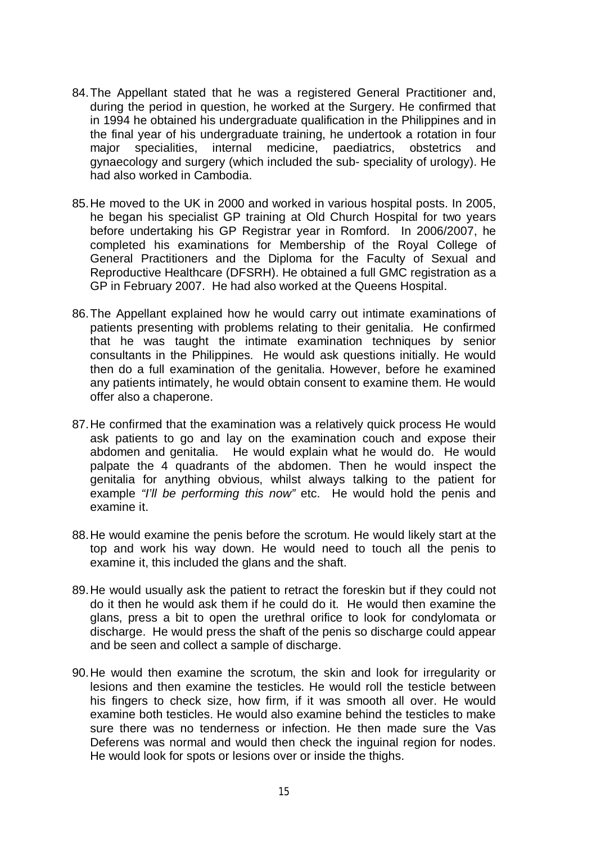- 84.The Appellant stated that he was a registered General Practitioner and, during the period in question, he worked at the Surgery. He confirmed that in 1994 he obtained his undergraduate qualification in the Philippines and in the final year of his undergraduate training, he undertook a rotation in four major specialities, internal medicine, paediatrics, obstetrics and gynaecology and surgery (which included the sub- speciality of urology). He had also worked in Cambodia.
- 85.He moved to the UK in 2000 and worked in various hospital posts. In 2005, he began his specialist GP training at Old Church Hospital for two years before undertaking his GP Registrar year in Romford. In 2006/2007, he completed his examinations for Membership of the Royal College of General Practitioners and the Diploma for the Faculty of Sexual and Reproductive Healthcare (DFSRH). He obtained a full GMC registration as a GP in February 2007. He had also worked at the Queens Hospital.
- 86.The Appellant explained how he would carry out intimate examinations of patients presenting with problems relating to their genitalia. He confirmed that he was taught the intimate examination techniques by senior consultants in the Philippines. He would ask questions initially. He would then do a full examination of the genitalia. However, before he examined any patients intimately, he would obtain consent to examine them. He would offer also a chaperone.
- 87.He confirmed that the examination was a relatively quick process He would ask patients to go and lay on the examination couch and expose their abdomen and genitalia. He would explain what he would do. He would palpate the 4 quadrants of the abdomen. Then he would inspect the genitalia for anything obvious, whilst always talking to the patient for example *"I'll be performing this now"* etc. He would hold the penis and examine it.
- 88.He would examine the penis before the scrotum. He would likely start at the top and work his way down. He would need to touch all the penis to examine it, this included the glans and the shaft.
- 89.He would usually ask the patient to retract the foreskin but if they could not do it then he would ask them if he could do it. He would then examine the glans, press a bit to open the urethral orifice to look for condylomata or discharge. He would press the shaft of the penis so discharge could appear and be seen and collect a sample of discharge.
- 90.He would then examine the scrotum, the skin and look for irregularity or lesions and then examine the testicles. He would roll the testicle between his fingers to check size, how firm, if it was smooth all over. He would examine both testicles. He would also examine behind the testicles to make sure there was no tenderness or infection. He then made sure the Vas Deferens was normal and would then check the inguinal region for nodes. He would look for spots or lesions over or inside the thighs.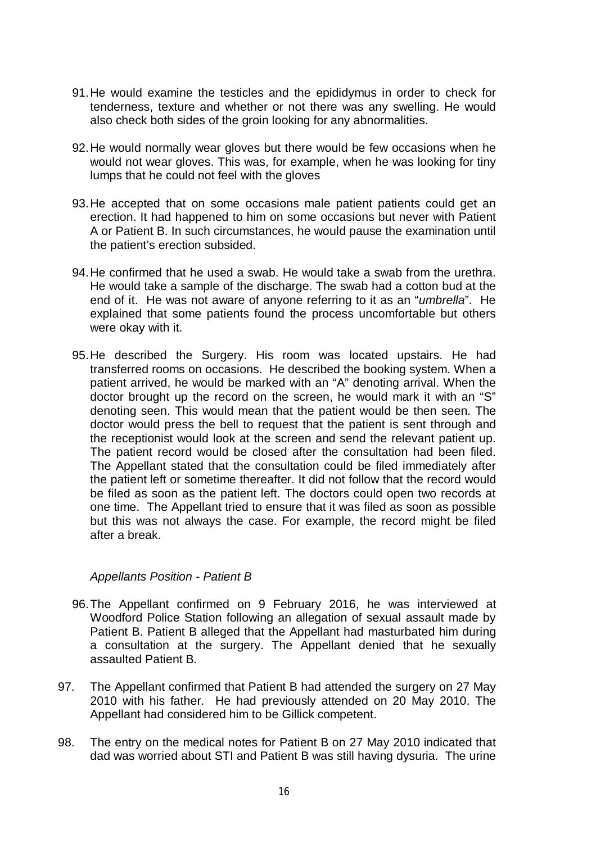- 91.He would examine the testicles and the epididymus in order to check for tenderness, texture and whether or not there was any swelling. He would also check both sides of the groin looking for any abnormalities.
- 92.He would normally wear gloves but there would be few occasions when he would not wear gloves. This was, for example, when he was looking for tiny lumps that he could not feel with the gloves
- 93.He accepted that on some occasions male patient patients could get an erection. It had happened to him on some occasions but never with Patient A or Patient B. In such circumstances, he would pause the examination until the patient's erection subsided.
- 94.He confirmed that he used a swab. He would take a swab from the urethra. He would take a sample of the discharge. The swab had a cotton bud at the end of it. He was not aware of anyone referring to it as an "*umbrella*". He explained that some patients found the process uncomfortable but others were okay with it.
- 95.He described the Surgery. His room was located upstairs. He had transferred rooms on occasions. He described the booking system. When a patient arrived, he would be marked with an "A" denoting arrival. When the doctor brought up the record on the screen, he would mark it with an "S" denoting seen. This would mean that the patient would be then seen. The doctor would press the bell to request that the patient is sent through and the receptionist would look at the screen and send the relevant patient up. The patient record would be closed after the consultation had been filed. The Appellant stated that the consultation could be filed immediately after the patient left or sometime thereafter. It did not follow that the record would be filed as soon as the patient left. The doctors could open two records at one time. The Appellant tried to ensure that it was filed as soon as possible but this was not always the case. For example, the record might be filed after a break.

#### *Appellants Position - Patient B*

- 96.The Appellant confirmed on 9 February 2016, he was interviewed at Woodford Police Station following an allegation of sexual assault made by Patient B. Patient B alleged that the Appellant had masturbated him during a consultation at the surgery. The Appellant denied that he sexually assaulted Patient B.
- 97. The Appellant confirmed that Patient B had attended the surgery on 27 May 2010 with his father. He had previously attended on 20 May 2010. The Appellant had considered him to be Gillick competent.
- 98. The entry on the medical notes for Patient B on 27 May 2010 indicated that dad was worried about STI and Patient B was still having dysuria. The urine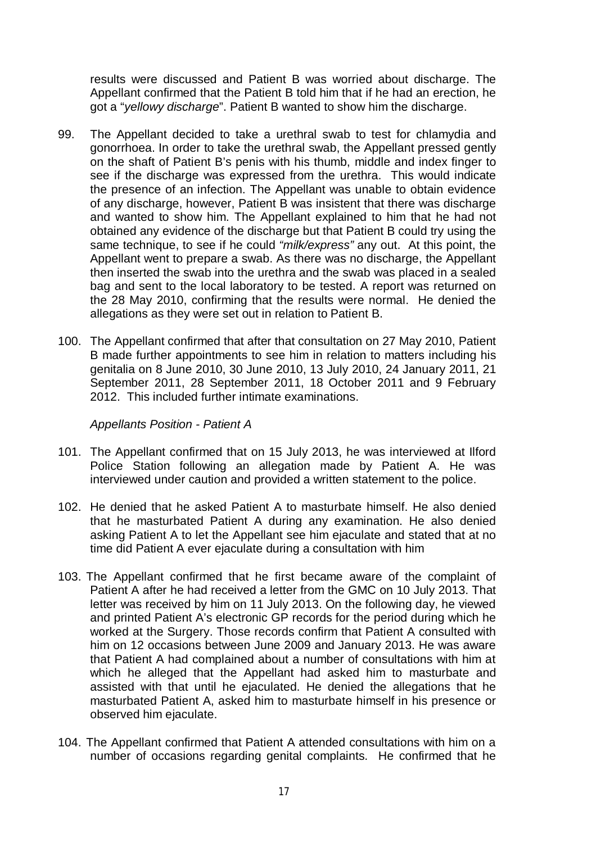results were discussed and Patient B was worried about discharge. The Appellant confirmed that the Patient B told him that if he had an erection, he got a "*yellowy discharge*". Patient B wanted to show him the discharge.

- 99. The Appellant decided to take a urethral swab to test for chlamydia and gonorrhoea. In order to take the urethral swab, the Appellant pressed gently on the shaft of Patient B's penis with his thumb, middle and index finger to see if the discharge was expressed from the urethra. This would indicate the presence of an infection. The Appellant was unable to obtain evidence of any discharge, however, Patient B was insistent that there was discharge and wanted to show him. The Appellant explained to him that he had not obtained any evidence of the discharge but that Patient B could try using the same technique, to see if he could *"milk/express"* any out. At this point, the Appellant went to prepare a swab. As there was no discharge, the Appellant then inserted the swab into the urethra and the swab was placed in a sealed bag and sent to the local laboratory to be tested. A report was returned on the 28 May 2010, confirming that the results were normal. He denied the allegations as they were set out in relation to Patient B.
- 100. The Appellant confirmed that after that consultation on 27 May 2010, Patient B made further appointments to see him in relation to matters including his genitalia on 8 June 2010, 30 June 2010, 13 July 2010, 24 January 2011, 21 September 2011, 28 September 2011, 18 October 2011 and 9 February 2012. This included further intimate examinations.

#### *Appellants Position - Patient A*

- 101. The Appellant confirmed that on 15 July 2013, he was interviewed at Ilford Police Station following an allegation made by Patient A. He was interviewed under caution and provided a written statement to the police.
- 102. He denied that he asked Patient A to masturbate himself. He also denied that he masturbated Patient A during any examination. He also denied asking Patient A to let the Appellant see him ejaculate and stated that at no time did Patient A ever ejaculate during a consultation with him
- 103. The Appellant confirmed that he first became aware of the complaint of Patient A after he had received a letter from the GMC on 10 July 2013. That letter was received by him on 11 July 2013. On the following day, he viewed and printed Patient A's electronic GP records for the period during which he worked at the Surgery. Those records confirm that Patient A consulted with him on 12 occasions between June 2009 and January 2013. He was aware that Patient A had complained about a number of consultations with him at which he alleged that the Appellant had asked him to masturbate and assisted with that until he ejaculated. He denied the allegations that he masturbated Patient A, asked him to masturbate himself in his presence or observed him ejaculate.
- 104. The Appellant confirmed that Patient A attended consultations with him on a number of occasions regarding genital complaints. He confirmed that he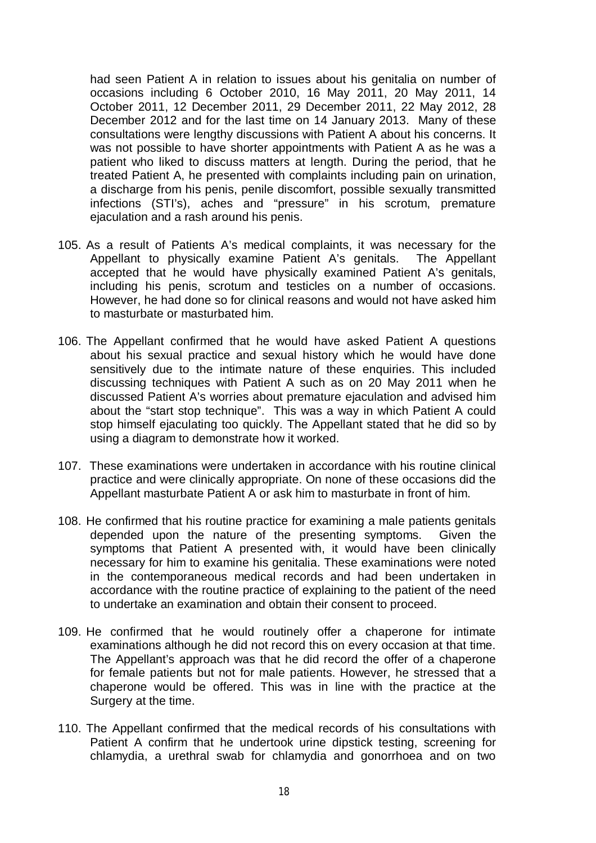had seen Patient A in relation to issues about his genitalia on number of occasions including 6 October 2010, 16 May 2011, 20 May 2011, 14 October 2011, 12 December 2011, 29 December 2011, 22 May 2012, 28 December 2012 and for the last time on 14 January 2013. Many of these consultations were lengthy discussions with Patient A about his concerns. It was not possible to have shorter appointments with Patient A as he was a patient who liked to discuss matters at length. During the period, that he treated Patient A, he presented with complaints including pain on urination, a discharge from his penis, penile discomfort, possible sexually transmitted infections (STI's), aches and "pressure" in his scrotum, premature ejaculation and a rash around his penis.

- 105. As a result of Patients A's medical complaints, it was necessary for the Appellant to physically examine Patient A's genitals. The Appellant accepted that he would have physically examined Patient A's genitals, including his penis, scrotum and testicles on a number of occasions. However, he had done so for clinical reasons and would not have asked him to masturbate or masturbated him.
- 106. The Appellant confirmed that he would have asked Patient A questions about his sexual practice and sexual history which he would have done sensitively due to the intimate nature of these enquiries. This included discussing techniques with Patient A such as on 20 May 2011 when he discussed Patient A's worries about premature ejaculation and advised him about the "start stop technique". This was a way in which Patient A could stop himself ejaculating too quickly. The Appellant stated that he did so by using a diagram to demonstrate how it worked.
- 107. These examinations were undertaken in accordance with his routine clinical practice and were clinically appropriate. On none of these occasions did the Appellant masturbate Patient A or ask him to masturbate in front of him.
- 108. He confirmed that his routine practice for examining a male patients genitals depended upon the nature of the presenting symptoms. Given the symptoms that Patient A presented with, it would have been clinically necessary for him to examine his genitalia. These examinations were noted in the contemporaneous medical records and had been undertaken in accordance with the routine practice of explaining to the patient of the need to undertake an examination and obtain their consent to proceed.
- 109. He confirmed that he would routinely offer a chaperone for intimate examinations although he did not record this on every occasion at that time. The Appellant's approach was that he did record the offer of a chaperone for female patients but not for male patients. However, he stressed that a chaperone would be offered. This was in line with the practice at the Surgery at the time.
- 110. The Appellant confirmed that the medical records of his consultations with Patient A confirm that he undertook urine dipstick testing, screening for chlamydia, a urethral swab for chlamydia and gonorrhoea and on two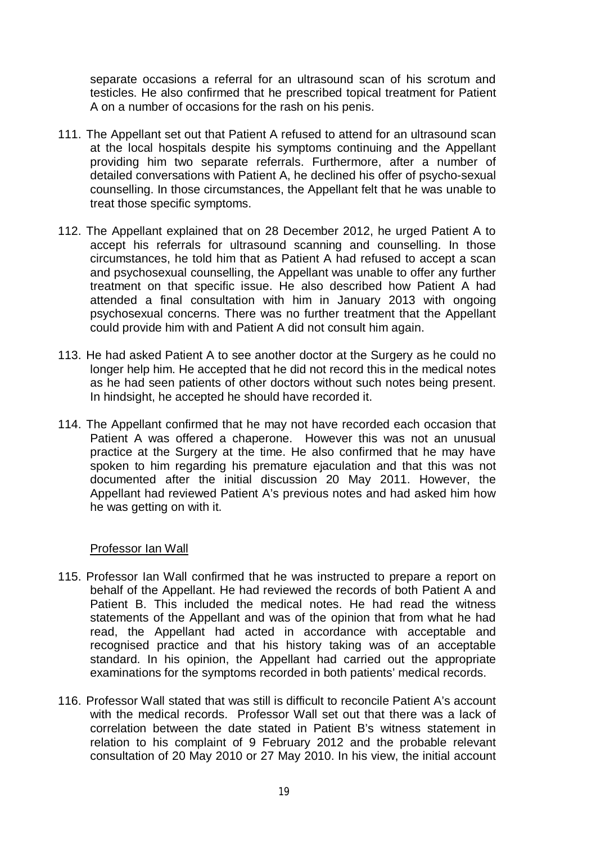separate occasions a referral for an ultrasound scan of his scrotum and testicles. He also confirmed that he prescribed topical treatment for Patient A on a number of occasions for the rash on his penis.

- 111. The Appellant set out that Patient A refused to attend for an ultrasound scan at the local hospitals despite his symptoms continuing and the Appellant providing him two separate referrals. Furthermore, after a number of detailed conversations with Patient A, he declined his offer of psycho-sexual counselling. In those circumstances, the Appellant felt that he was unable to treat those specific symptoms.
- 112. The Appellant explained that on 28 December 2012, he urged Patient A to accept his referrals for ultrasound scanning and counselling. In those circumstances, he told him that as Patient A had refused to accept a scan and psychosexual counselling, the Appellant was unable to offer any further treatment on that specific issue. He also described how Patient A had attended a final consultation with him in January 2013 with ongoing psychosexual concerns. There was no further treatment that the Appellant could provide him with and Patient A did not consult him again.
- 113. He had asked Patient A to see another doctor at the Surgery as he could no longer help him. He accepted that he did not record this in the medical notes as he had seen patients of other doctors without such notes being present. In hindsight, he accepted he should have recorded it.
- 114. The Appellant confirmed that he may not have recorded each occasion that Patient A was offered a chaperone. However this was not an unusual practice at the Surgery at the time. He also confirmed that he may have spoken to him regarding his premature ejaculation and that this was not documented after the initial discussion 20 May 2011. However, the Appellant had reviewed Patient A's previous notes and had asked him how he was getting on with it.

#### Professor Ian Wall

- 115. Professor Ian Wall confirmed that he was instructed to prepare a report on behalf of the Appellant. He had reviewed the records of both Patient A and Patient B. This included the medical notes. He had read the witness statements of the Appellant and was of the opinion that from what he had read, the Appellant had acted in accordance with acceptable and recognised practice and that his history taking was of an acceptable standard. In his opinion, the Appellant had carried out the appropriate examinations for the symptoms recorded in both patients' medical records.
- 116. Professor Wall stated that was still is difficult to reconcile Patient A's account with the medical records. Professor Wall set out that there was a lack of correlation between the date stated in Patient B's witness statement in relation to his complaint of 9 February 2012 and the probable relevant consultation of 20 May 2010 or 27 May 2010. In his view, the initial account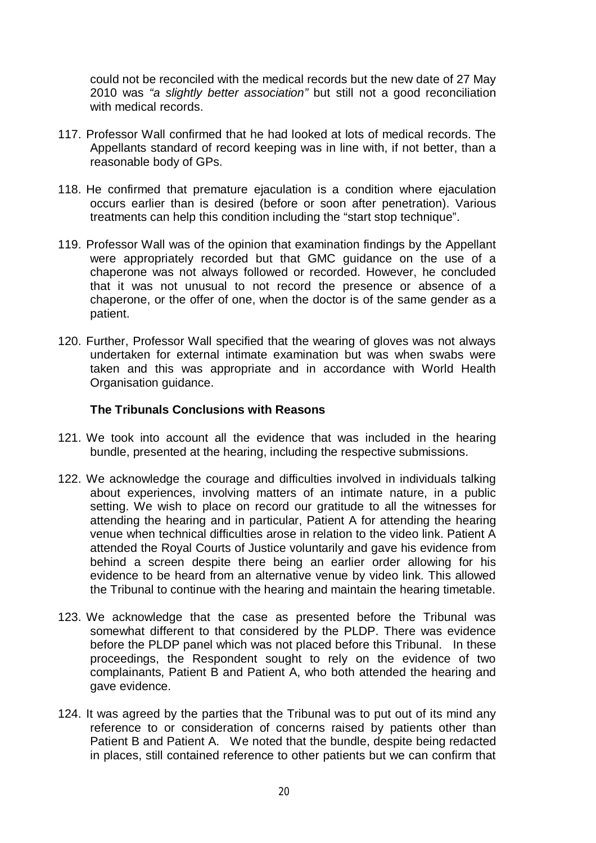could not be reconciled with the medical records but the new date of 27 May 2010 was *"a slightly better association"* but still not a good reconciliation with medical records.

- 117. Professor Wall confirmed that he had looked at lots of medical records. The Appellants standard of record keeping was in line with, if not better, than a reasonable body of GPs.
- 118. He confirmed that premature ejaculation is a condition where ejaculation occurs earlier than is desired (before or soon after penetration). Various treatments can help this condition including the "start stop technique".
- 119. Professor Wall was of the opinion that examination findings by the Appellant were appropriately recorded but that GMC guidance on the use of a chaperone was not always followed or recorded. However, he concluded that it was not unusual to not record the presence or absence of a chaperone, or the offer of one, when the doctor is of the same gender as a patient.
- 120. Further, Professor Wall specified that the wearing of gloves was not always undertaken for external intimate examination but was when swabs were taken and this was appropriate and in accordance with World Health Organisation guidance.

#### **The Tribunals Conclusions with Reasons**

- 121. We took into account all the evidence that was included in the hearing bundle, presented at the hearing, including the respective submissions.
- 122. We acknowledge the courage and difficulties involved in individuals talking about experiences, involving matters of an intimate nature, in a public setting. We wish to place on record our gratitude to all the witnesses for attending the hearing and in particular, Patient A for attending the hearing venue when technical difficulties arose in relation to the video link. Patient A attended the Royal Courts of Justice voluntarily and gave his evidence from behind a screen despite there being an earlier order allowing for his evidence to be heard from an alternative venue by video link. This allowed the Tribunal to continue with the hearing and maintain the hearing timetable.
- 123. We acknowledge that the case as presented before the Tribunal was somewhat different to that considered by the PLDP. There was evidence before the PLDP panel which was not placed before this Tribunal. In these proceedings, the Respondent sought to rely on the evidence of two complainants, Patient B and Patient A, who both attended the hearing and gave evidence.
- 124. It was agreed by the parties that the Tribunal was to put out of its mind any reference to or consideration of concerns raised by patients other than Patient B and Patient A. We noted that the bundle, despite being redacted in places, still contained reference to other patients but we can confirm that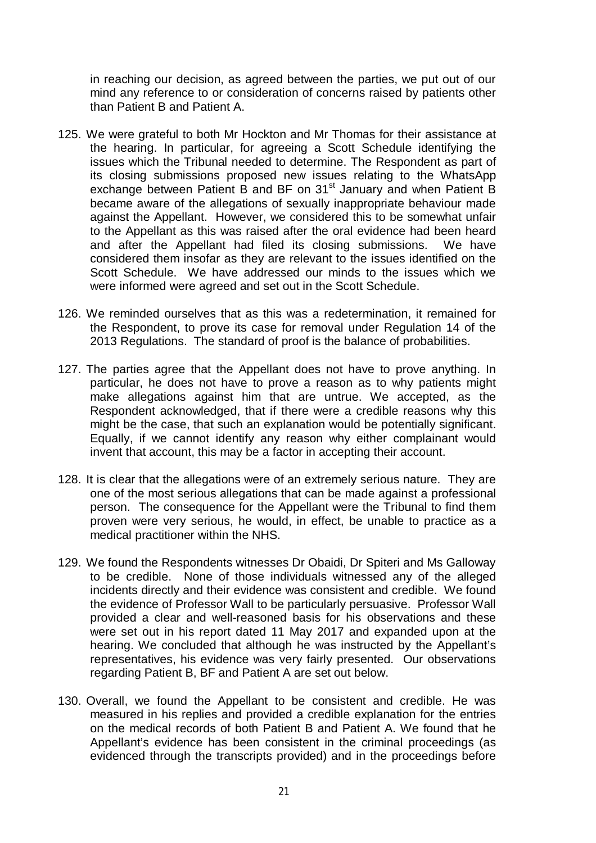in reaching our decision, as agreed between the parties, we put out of our mind any reference to or consideration of concerns raised by patients other than Patient B and Patient A.

- 125. We were grateful to both Mr Hockton and Mr Thomas for their assistance at the hearing. In particular, for agreeing a Scott Schedule identifying the issues which the Tribunal needed to determine. The Respondent as part of its closing submissions proposed new issues relating to the WhatsApp exchange between Patient B and BF on 31<sup>st</sup> January and when Patient B became aware of the allegations of sexually inappropriate behaviour made against the Appellant. However, we considered this to be somewhat unfair to the Appellant as this was raised after the oral evidence had been heard and after the Appellant had filed its closing submissions. We have considered them insofar as they are relevant to the issues identified on the Scott Schedule. We have addressed our minds to the issues which we were informed were agreed and set out in the Scott Schedule.
- 126. We reminded ourselves that as this was a redetermination, it remained for the Respondent, to prove its case for removal under Regulation 14 of the 2013 Regulations. The standard of proof is the balance of probabilities.
- 127. The parties agree that the Appellant does not have to prove anything. In particular, he does not have to prove a reason as to why patients might make allegations against him that are untrue. We accepted, as the Respondent acknowledged, that if there were a credible reasons why this might be the case, that such an explanation would be potentially significant. Equally, if we cannot identify any reason why either complainant would invent that account, this may be a factor in accepting their account.
- 128. It is clear that the allegations were of an extremely serious nature. They are one of the most serious allegations that can be made against a professional person. The consequence for the Appellant were the Tribunal to find them proven were very serious, he would, in effect, be unable to practice as a medical practitioner within the NHS.
- 129. We found the Respondents witnesses Dr Obaidi, Dr Spiteri and Ms Galloway to be credible. None of those individuals witnessed any of the alleged incidents directly and their evidence was consistent and credible. We found the evidence of Professor Wall to be particularly persuasive. Professor Wall provided a clear and well-reasoned basis for his observations and these were set out in his report dated 11 May 2017 and expanded upon at the hearing. We concluded that although he was instructed by the Appellant's representatives, his evidence was very fairly presented. Our observations regarding Patient B, BF and Patient A are set out below.
- 130. Overall, we found the Appellant to be consistent and credible. He was measured in his replies and provided a credible explanation for the entries on the medical records of both Patient B and Patient A. We found that he Appellant's evidence has been consistent in the criminal proceedings (as evidenced through the transcripts provided) and in the proceedings before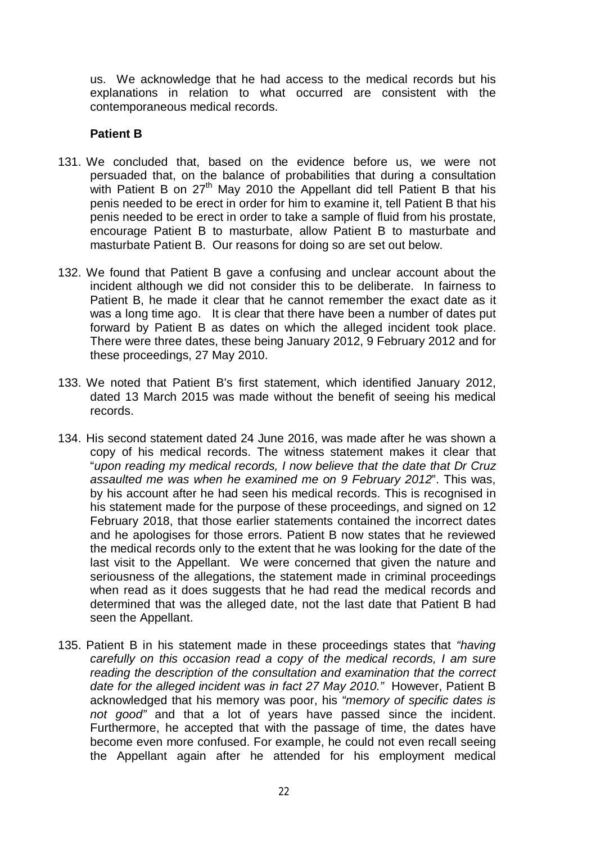us. We acknowledge that he had access to the medical records but his explanations in relation to what occurred are consistent with the contemporaneous medical records.

## **Patient B**

- 131. We concluded that, based on the evidence before us, we were not persuaded that, on the balance of probabilities that during a consultation with Patient B on  $27<sup>th</sup>$  May 2010 the Appellant did tell Patient B that his penis needed to be erect in order for him to examine it, tell Patient B that his penis needed to be erect in order to take a sample of fluid from his prostate, encourage Patient B to masturbate, allow Patient B to masturbate and masturbate Patient B. Our reasons for doing so are set out below.
- 132. We found that Patient B gave a confusing and unclear account about the incident although we did not consider this to be deliberate. In fairness to Patient B, he made it clear that he cannot remember the exact date as it was a long time ago. It is clear that there have been a number of dates put forward by Patient B as dates on which the alleged incident took place. There were three dates, these being January 2012, 9 February 2012 and for these proceedings, 27 May 2010.
- 133. We noted that Patient B's first statement, which identified January 2012, dated 13 March 2015 was made without the benefit of seeing his medical records.
- 134. His second statement dated 24 June 2016, was made after he was shown a copy of his medical records. The witness statement makes it clear that "*upon reading my medical records, I now believe that the date that Dr Cruz assaulted me was when he examined me on 9 February 2012*". This was, by his account after he had seen his medical records. This is recognised in his statement made for the purpose of these proceedings, and signed on 12 February 2018, that those earlier statements contained the incorrect dates and he apologises for those errors. Patient B now states that he reviewed the medical records only to the extent that he was looking for the date of the last visit to the Appellant. We were concerned that given the nature and seriousness of the allegations, the statement made in criminal proceedings when read as it does suggests that he had read the medical records and determined that was the alleged date, not the last date that Patient B had seen the Appellant.
- 135. Patient B in his statement made in these proceedings states that *"having carefully on this occasion read a copy of the medical records, I am sure reading the description of the consultation and examination that the correct date for the alleged incident was in fact 27 May 2010."* However, Patient B acknowledged that his memory was poor, his *"memory of specific dates is not good"* and that a lot of years have passed since the incident. Furthermore, he accepted that with the passage of time, the dates have become even more confused. For example, he could not even recall seeing the Appellant again after he attended for his employment medical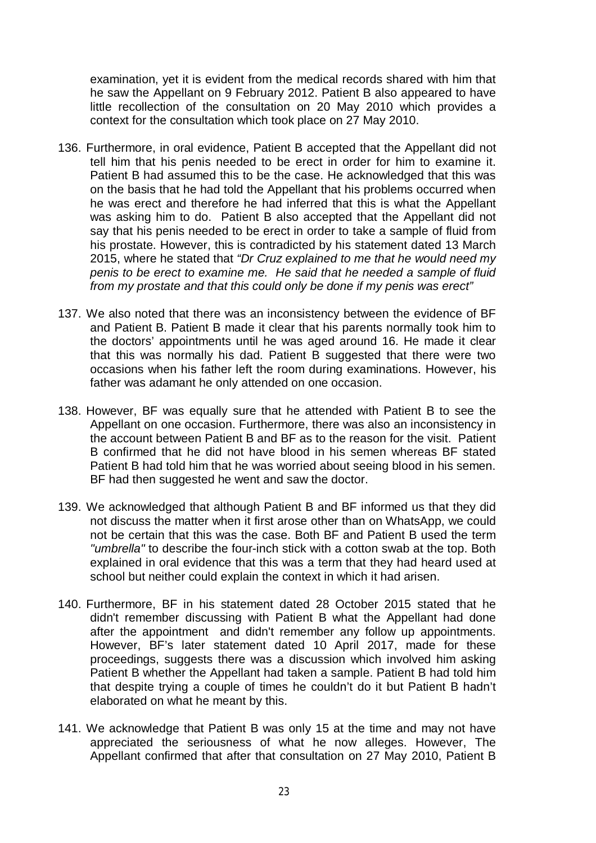examination, yet it is evident from the medical records shared with him that he saw the Appellant on 9 February 2012. Patient B also appeared to have little recollection of the consultation on 20 May 2010 which provides a context for the consultation which took place on 27 May 2010.

- 136. Furthermore, in oral evidence, Patient B accepted that the Appellant did not tell him that his penis needed to be erect in order for him to examine it. Patient B had assumed this to be the case. He acknowledged that this was on the basis that he had told the Appellant that his problems occurred when he was erect and therefore he had inferred that this is what the Appellant was asking him to do. Patient B also accepted that the Appellant did not say that his penis needed to be erect in order to take a sample of fluid from his prostate. However, this is contradicted by his statement dated 13 March 2015, where he stated that *"Dr Cruz explained to me that he would need my penis to be erect to examine me. He said that he needed a sample of fluid from my prostate and that this could only be done if my penis was erect"*
- 137. We also noted that there was an inconsistency between the evidence of BF and Patient B. Patient B made it clear that his parents normally took him to the doctors' appointments until he was aged around 16. He made it clear that this was normally his dad. Patient B suggested that there were two occasions when his father left the room during examinations. However, his father was adamant he only attended on one occasion.
- 138. However, BF was equally sure that he attended with Patient B to see the Appellant on one occasion. Furthermore, there was also an inconsistency in the account between Patient B and BF as to the reason for the visit. Patient B confirmed that he did not have blood in his semen whereas BF stated Patient B had told him that he was worried about seeing blood in his semen. BF had then suggested he went and saw the doctor.
- 139. We acknowledged that although Patient B and BF informed us that they did not discuss the matter when it first arose other than on WhatsApp, we could not be certain that this was the case. Both BF and Patient B used the term *"umbrella"* to describe the four-inch stick with a cotton swab at the top. Both explained in oral evidence that this was a term that they had heard used at school but neither could explain the context in which it had arisen.
- 140. Furthermore, BF in his statement dated 28 October 2015 stated that he didn't remember discussing with Patient B what the Appellant had done after the appointment and didn't remember any follow up appointments. However, BF's later statement dated 10 April 2017, made for these proceedings, suggests there was a discussion which involved him asking Patient B whether the Appellant had taken a sample. Patient B had told him that despite trying a couple of times he couldn't do it but Patient B hadn't elaborated on what he meant by this.
- 141. We acknowledge that Patient B was only 15 at the time and may not have appreciated the seriousness of what he now alleges. However, The Appellant confirmed that after that consultation on 27 May 2010, Patient B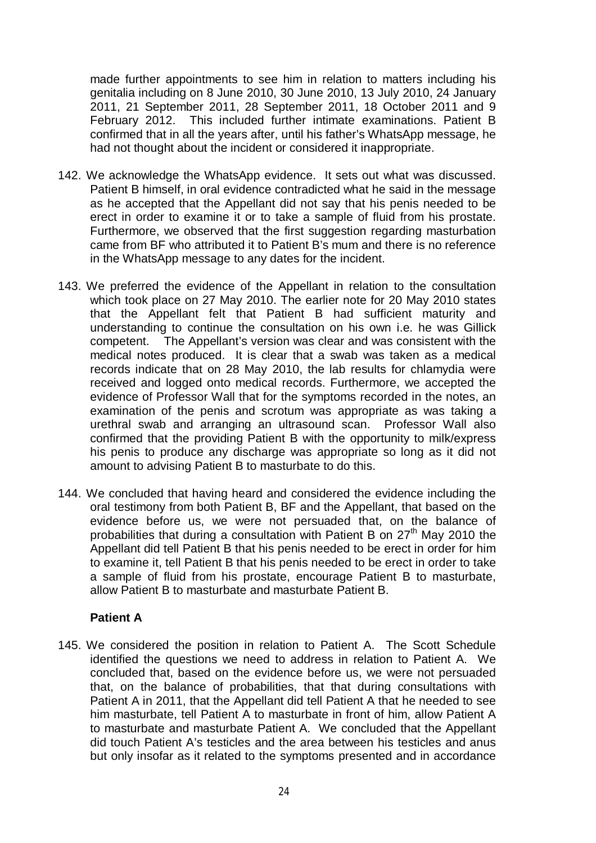made further appointments to see him in relation to matters including his genitalia including on 8 June 2010, 30 June 2010, 13 July 2010, 24 January 2011, 21 September 2011, 28 September 2011, 18 October 2011 and 9 February 2012. This included further intimate examinations. Patient B confirmed that in all the years after, until his father's WhatsApp message, he had not thought about the incident or considered it inappropriate.

- 142. We acknowledge the WhatsApp evidence. It sets out what was discussed. Patient B himself, in oral evidence contradicted what he said in the message as he accepted that the Appellant did not say that his penis needed to be erect in order to examine it or to take a sample of fluid from his prostate. Furthermore, we observed that the first suggestion regarding masturbation came from BF who attributed it to Patient B's mum and there is no reference in the WhatsApp message to any dates for the incident.
- 143. We preferred the evidence of the Appellant in relation to the consultation which took place on 27 May 2010. The earlier note for 20 May 2010 states that the Appellant felt that Patient B had sufficient maturity and understanding to continue the consultation on his own i.e. he was Gillick competent. The Appellant's version was clear and was consistent with the medical notes produced. It is clear that a swab was taken as a medical records indicate that on 28 May 2010, the lab results for chlamydia were received and logged onto medical records. Furthermore, we accepted the evidence of Professor Wall that for the symptoms recorded in the notes, an examination of the penis and scrotum was appropriate as was taking a urethral swab and arranging an ultrasound scan. Professor Wall also confirmed that the providing Patient B with the opportunity to milk/express his penis to produce any discharge was appropriate so long as it did not amount to advising Patient B to masturbate to do this.
- 144. We concluded that having heard and considered the evidence including the oral testimony from both Patient B, BF and the Appellant, that based on the evidence before us, we were not persuaded that, on the balance of probabilities that during a consultation with Patient B on  $27<sup>th</sup>$  May 2010 the Appellant did tell Patient B that his penis needed to be erect in order for him to examine it, tell Patient B that his penis needed to be erect in order to take a sample of fluid from his prostate, encourage Patient B to masturbate, allow Patient B to masturbate and masturbate Patient B.

## **Patient A**

145. We considered the position in relation to Patient A. The Scott Schedule identified the questions we need to address in relation to Patient A. We concluded that, based on the evidence before us, we were not persuaded that, on the balance of probabilities, that that during consultations with Patient A in 2011, that the Appellant did tell Patient A that he needed to see him masturbate, tell Patient A to masturbate in front of him, allow Patient A to masturbate and masturbate Patient A. We concluded that the Appellant did touch Patient A's testicles and the area between his testicles and anus but only insofar as it related to the symptoms presented and in accordance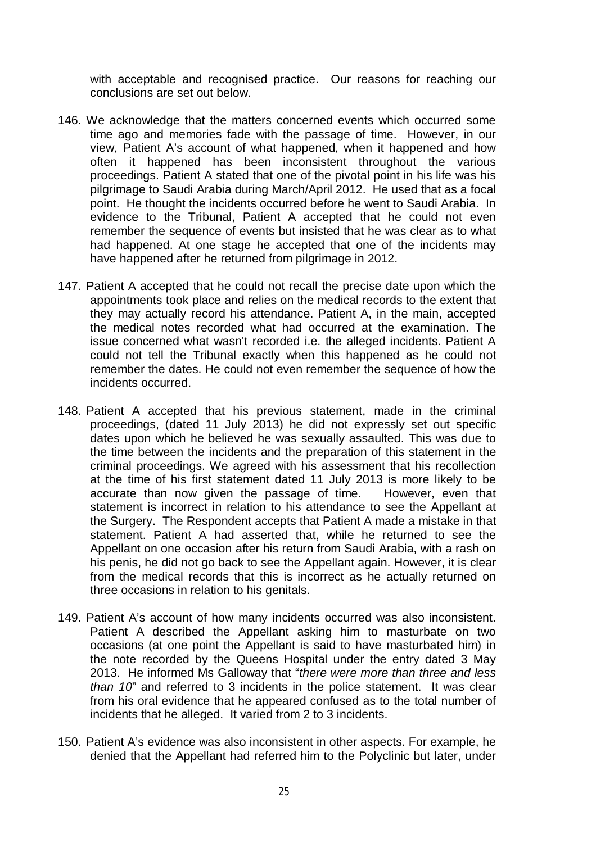with acceptable and recognised practice. Our reasons for reaching our conclusions are set out below.

- 146. We acknowledge that the matters concerned events which occurred some time ago and memories fade with the passage of time. However, in our view, Patient A's account of what happened, when it happened and how often it happened has been inconsistent throughout the various proceedings. Patient A stated that one of the pivotal point in his life was his pilgrimage to Saudi Arabia during March/April 2012. He used that as a focal point. He thought the incidents occurred before he went to Saudi Arabia. In evidence to the Tribunal, Patient A accepted that he could not even remember the sequence of events but insisted that he was clear as to what had happened. At one stage he accepted that one of the incidents may have happened after he returned from pilgrimage in 2012.
- 147. Patient A accepted that he could not recall the precise date upon which the appointments took place and relies on the medical records to the extent that they may actually record his attendance. Patient A, in the main, accepted the medical notes recorded what had occurred at the examination. The issue concerned what wasn't recorded i.e. the alleged incidents. Patient A could not tell the Tribunal exactly when this happened as he could not remember the dates. He could not even remember the sequence of how the incidents occurred.
- 148. Patient A accepted that his previous statement, made in the criminal proceedings, (dated 11 July 2013) he did not expressly set out specific dates upon which he believed he was sexually assaulted. This was due to the time between the incidents and the preparation of this statement in the criminal proceedings. We agreed with his assessment that his recollection at the time of his first statement dated 11 July 2013 is more likely to be accurate than now given the passage of time. However, even that statement is incorrect in relation to his attendance to see the Appellant at the Surgery. The Respondent accepts that Patient A made a mistake in that statement. Patient A had asserted that, while he returned to see the Appellant on one occasion after his return from Saudi Arabia, with a rash on his penis, he did not go back to see the Appellant again. However, it is clear from the medical records that this is incorrect as he actually returned on three occasions in relation to his genitals.
- 149. Patient A's account of how many incidents occurred was also inconsistent. Patient A described the Appellant asking him to masturbate on two occasions (at one point the Appellant is said to have masturbated him) in the note recorded by the Queens Hospital under the entry dated 3 May 2013. He informed Ms Galloway that "*there were more than three and less than 10*" and referred to 3 incidents in the police statement. It was clear from his oral evidence that he appeared confused as to the total number of incidents that he alleged. It varied from 2 to 3 incidents.
- 150. Patient A's evidence was also inconsistent in other aspects. For example, he denied that the Appellant had referred him to the Polyclinic but later, under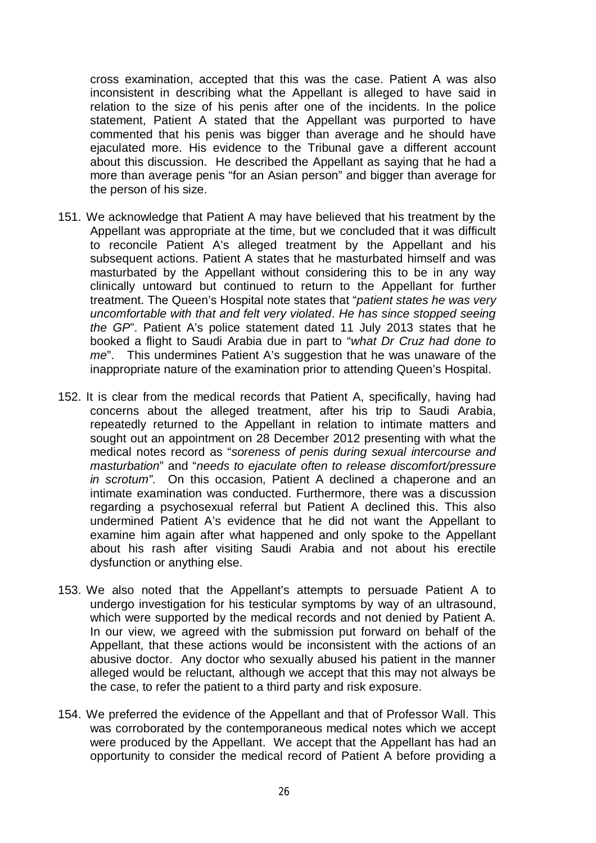cross examination, accepted that this was the case. Patient A was also inconsistent in describing what the Appellant is alleged to have said in relation to the size of his penis after one of the incidents. In the police statement, Patient A stated that the Appellant was purported to have commented that his penis was bigger than average and he should have ejaculated more. His evidence to the Tribunal gave a different account about this discussion. He described the Appellant as saying that he had a more than average penis "for an Asian person" and bigger than average for the person of his size.

- 151. We acknowledge that Patient A may have believed that his treatment by the Appellant was appropriate at the time, but we concluded that it was difficult to reconcile Patient A's alleged treatment by the Appellant and his subsequent actions. Patient A states that he masturbated himself and was masturbated by the Appellant without considering this to be in any way clinically untoward but continued to return to the Appellant for further treatment. The Queen's Hospital note states that "*patient states he was very uncomfortable with that and felt very violated*. *He has since stopped seeing the GP*". Patient A's police statement dated 11 July 2013 states that he booked a flight to Saudi Arabia due in part to "*what Dr Cruz had done to me*". This undermines Patient A's suggestion that he was unaware of the inappropriate nature of the examination prior to attending Queen's Hospital.
- 152. It is clear from the medical records that Patient A, specifically, having had concerns about the alleged treatment, after his trip to Saudi Arabia, repeatedly returned to the Appellant in relation to intimate matters and sought out an appointment on 28 December 2012 presenting with what the medical notes record as "*soreness of penis during sexual intercourse and masturbation*" and "*needs to ejaculate often to release discomfort/pressure in scrotum"*. On this occasion, Patient A declined a chaperone and an intimate examination was conducted. Furthermore, there was a discussion regarding a psychosexual referral but Patient A declined this. This also undermined Patient A's evidence that he did not want the Appellant to examine him again after what happened and only spoke to the Appellant about his rash after visiting Saudi Arabia and not about his erectile dysfunction or anything else.
- 153. We also noted that the Appellant's attempts to persuade Patient A to undergo investigation for his testicular symptoms by way of an ultrasound, which were supported by the medical records and not denied by Patient A. In our view, we agreed with the submission put forward on behalf of the Appellant, that these actions would be inconsistent with the actions of an abusive doctor. Any doctor who sexually abused his patient in the manner alleged would be reluctant, although we accept that this may not always be the case, to refer the patient to a third party and risk exposure.
- 154. We preferred the evidence of the Appellant and that of Professor Wall. This was corroborated by the contemporaneous medical notes which we accept were produced by the Appellant. We accept that the Appellant has had an opportunity to consider the medical record of Patient A before providing a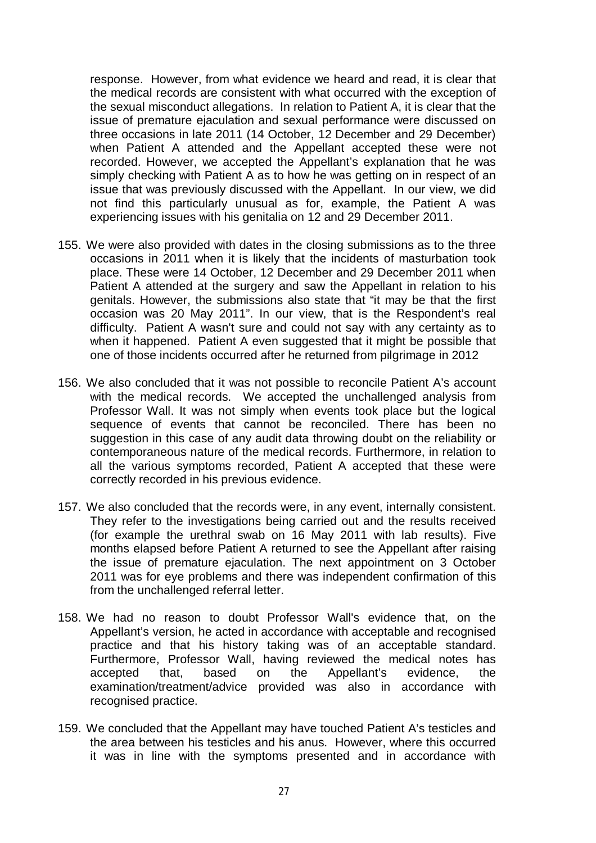response. However, from what evidence we heard and read, it is clear that the medical records are consistent with what occurred with the exception of the sexual misconduct allegations. In relation to Patient A, it is clear that the issue of premature ejaculation and sexual performance were discussed on three occasions in late 2011 (14 October, 12 December and 29 December) when Patient A attended and the Appellant accepted these were not recorded. However, we accepted the Appellant's explanation that he was simply checking with Patient A as to how he was getting on in respect of an issue that was previously discussed with the Appellant. In our view, we did not find this particularly unusual as for, example, the Patient A was experiencing issues with his genitalia on 12 and 29 December 2011.

- 155. We were also provided with dates in the closing submissions as to the three occasions in 2011 when it is likely that the incidents of masturbation took place. These were 14 October, 12 December and 29 December 2011 when Patient A attended at the surgery and saw the Appellant in relation to his genitals. However, the submissions also state that "it may be that the first occasion was 20 May 2011". In our view, that is the Respondent's real difficulty. Patient A wasn't sure and could not say with any certainty as to when it happened. Patient A even suggested that it might be possible that one of those incidents occurred after he returned from pilgrimage in 2012
- 156. We also concluded that it was not possible to reconcile Patient A's account with the medical records. We accepted the unchallenged analysis from Professor Wall. It was not simply when events took place but the logical sequence of events that cannot be reconciled. There has been no suggestion in this case of any audit data throwing doubt on the reliability or contemporaneous nature of the medical records. Furthermore, in relation to all the various symptoms recorded, Patient A accepted that these were correctly recorded in his previous evidence.
- 157. We also concluded that the records were, in any event, internally consistent. They refer to the investigations being carried out and the results received (for example the urethral swab on 16 May 2011 with lab results). Five months elapsed before Patient A returned to see the Appellant after raising the issue of premature ejaculation. The next appointment on 3 October 2011 was for eye problems and there was independent confirmation of this from the unchallenged referral letter.
- 158. We had no reason to doubt Professor Wall's evidence that, on the Appellant's version, he acted in accordance with acceptable and recognised practice and that his history taking was of an acceptable standard. Furthermore, Professor Wall, having reviewed the medical notes has accepted that, based on the Appellant's evidence, the examination/treatment/advice provided was also in accordance with recognised practice.
- 159. We concluded that the Appellant may have touched Patient A's testicles and the area between his testicles and his anus. However, where this occurred it was in line with the symptoms presented and in accordance with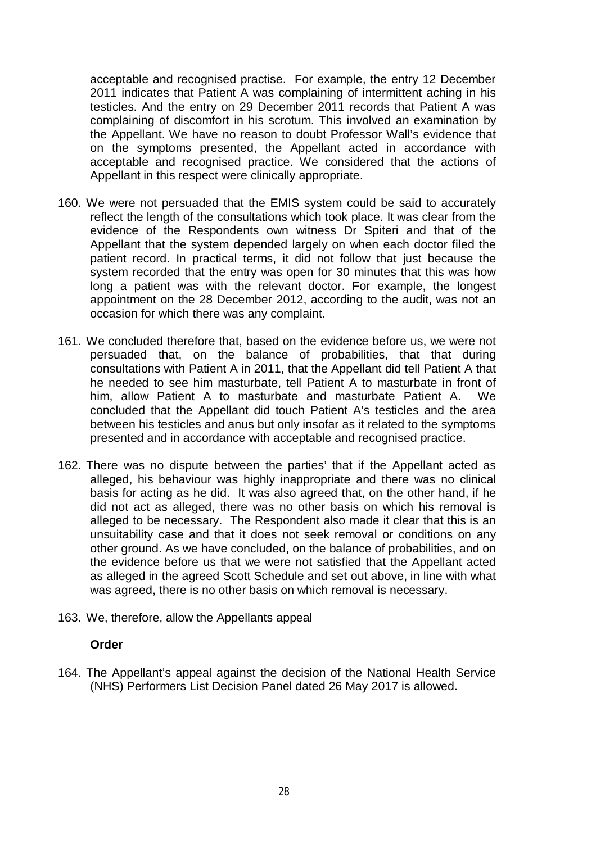acceptable and recognised practise. For example, the entry 12 December 2011 indicates that Patient A was complaining of intermittent aching in his testicles. And the entry on 29 December 2011 records that Patient A was complaining of discomfort in his scrotum. This involved an examination by the Appellant. We have no reason to doubt Professor Wall's evidence that on the symptoms presented, the Appellant acted in accordance with acceptable and recognised practice. We considered that the actions of Appellant in this respect were clinically appropriate.

- 160. We were not persuaded that the EMIS system could be said to accurately reflect the length of the consultations which took place. It was clear from the evidence of the Respondents own witness Dr Spiteri and that of the Appellant that the system depended largely on when each doctor filed the patient record. In practical terms, it did not follow that just because the system recorded that the entry was open for 30 minutes that this was how long a patient was with the relevant doctor. For example, the longest appointment on the 28 December 2012, according to the audit, was not an occasion for which there was any complaint.
- 161. We concluded therefore that, based on the evidence before us, we were not persuaded that, on the balance of probabilities, that that during consultations with Patient A in 2011, that the Appellant did tell Patient A that he needed to see him masturbate, tell Patient A to masturbate in front of him, allow Patient A to masturbate and masturbate Patient A. We concluded that the Appellant did touch Patient A's testicles and the area between his testicles and anus but only insofar as it related to the symptoms presented and in accordance with acceptable and recognised practice.
- 162. There was no dispute between the parties' that if the Appellant acted as alleged, his behaviour was highly inappropriate and there was no clinical basis for acting as he did. It was also agreed that, on the other hand, if he did not act as alleged, there was no other basis on which his removal is alleged to be necessary. The Respondent also made it clear that this is an unsuitability case and that it does not seek removal or conditions on any other ground. As we have concluded, on the balance of probabilities, and on the evidence before us that we were not satisfied that the Appellant acted as alleged in the agreed Scott Schedule and set out above, in line with what was agreed, there is no other basis on which removal is necessary.
- 163. We, therefore, allow the Appellants appeal

#### **Order**

164. The Appellant's appeal against the decision of the National Health Service (NHS) Performers List Decision Panel dated 26 May 2017 is allowed.